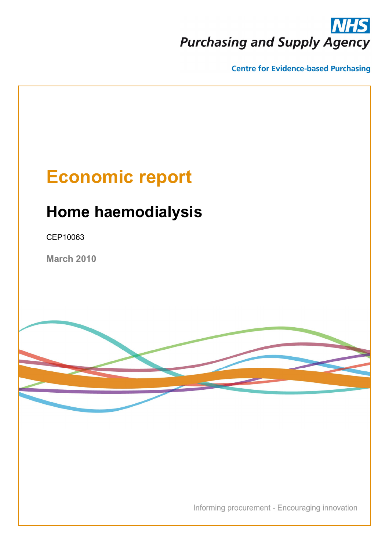# **Purchasing and Supply Agency**

**Centre for Evidence-based Purchasing** 

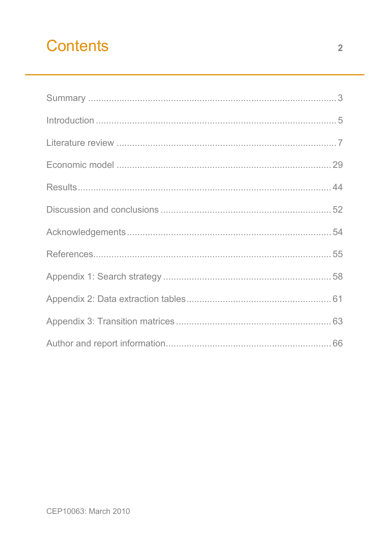# **Contents**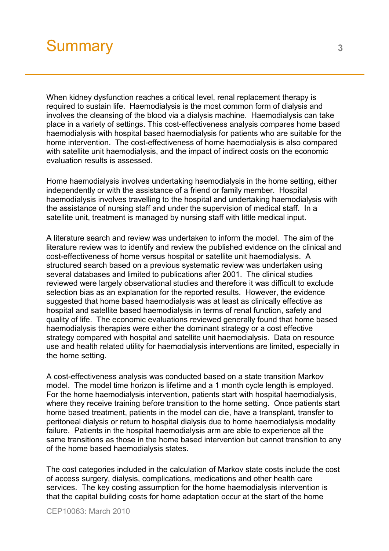# <span id="page-2-0"></span>Summary 3<sup>3</sup>

When kidney dysfunction reaches a critical level, renal replacement therapy is required to sustain life. Haemodialysis is the most common form of dialysis and involves the cleansing of the blood via a dialysis machine. Haemodialysis can take place in a variety of settings. This cost-effectiveness analysis compares home based haemodialysis with hospital based haemodialysis for patients who are suitable for the home intervention. The cost-effectiveness of home haemodialysis is also compared with satellite unit haemodialysis, and the impact of indirect costs on the economic evaluation results is assessed.

Home haemodialysis involves undertaking haemodialysis in the home setting, either independently or with the assistance of a friend or family member. Hospital haemodialysis involves travelling to the hospital and undertaking haemodialysis with the assistance of nursing staff and under the supervision of medical staff. In a satellite unit, treatment is managed by nursing staff with little medical input.

A literature search and review was undertaken to inform the model. The aim of the literature review was to identify and review the published evidence on the clinical and cost-effectiveness of home versus hospital or satellite unit haemodialysis. A structured search based on a previous systematic review was undertaken using several databases and limited to publications after 2001. The clinical studies reviewed were largely observational studies and therefore it was difficult to exclude selection bias as an explanation for the reported results. However, the evidence suggested that home based haemodialysis was at least as clinically effective as hospital and satellite based haemodialysis in terms of renal function, safety and quality of life. The economic evaluations reviewed generally found that home based haemodialysis therapies were either the dominant strategy or a cost effective strategy compared with hospital and satellite unit haemodialysis. Data on resource use and health related utility for haemodialysis interventions are limited, especially in the home setting.

A cost-effectiveness analysis was conducted based on a state transition Markov model. The model time horizon is lifetime and a 1 month cycle length is employed. For the home haemodialysis intervention, patients start with hospital haemodialysis, where they receive training before transition to the home setting. Once patients start home based treatment, patients in the model can die, have a transplant, transfer to peritoneal dialysis or return to hospital dialysis due to home haemodialysis modality failure. Patients in the hospital haemodialysis arm are able to experience all the same transitions as those in the home based intervention but cannot transition to any of the home based haemodialysis states.

The cost categories included in the calculation of Markov state costs include the cost of access surgery, dialysis, complications, medications and other health care services. The key costing assumption for the home haemodialysis intervention is that the capital building costs for home adaptation occur at the start of the home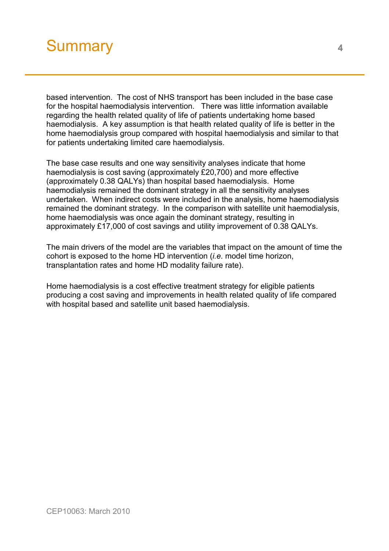# Summary **<sup>4</sup>**

based intervention. The cost of NHS transport has been included in the base case for the hospital haemodialysis intervention. There was little information available regarding the health related quality of life of patients undertaking home based haemodialysis. A key assumption is that health related quality of life is better in the home haemodialysis group compared with hospital haemodialysis and similar to that for patients undertaking limited care haemodialysis.

The base case results and one way sensitivity analyses indicate that home haemodialysis is cost saving (approximately £20,700) and more effective (approximately 0.38 QALYs) than hospital based haemodialysis. Home haemodialysis remained the dominant strategy in all the sensitivity analyses undertaken. When indirect costs were included in the analysis, home haemodialysis remained the dominant strategy. In the comparison with satellite unit haemodialysis, home haemodialysis was once again the dominant strategy, resulting in approximately £17,000 of cost savings and utility improvement of 0.38 QALYs.

The main drivers of the model are the variables that impact on the amount of time the cohort is exposed to the home HD intervention (*i.e.* model time horizon, transplantation rates and home HD modality failure rate).

Home haemodialysis is a cost effective treatment strategy for eligible patients producing a cost saving and improvements in health related quality of life compared with hospital based and satellite unit based haemodialysis.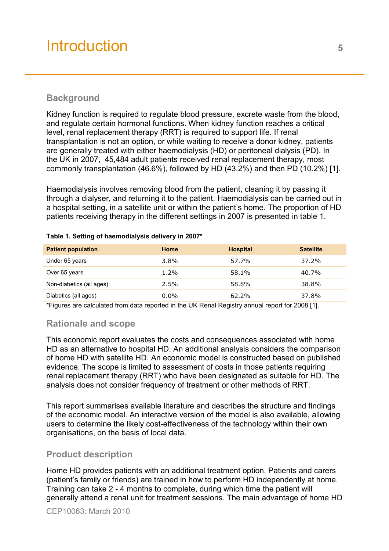# <span id="page-4-0"></span>Introduction **<sup>5</sup>**

# **Background**

Kidney function is required to regulate blood pressure, excrete waste from the blood, and regulate certain hormonal functions. When kidney function reaches a critical level, renal replacement therapy (RRT) is required to support life. If renal transplantation is not an option, or while waiting to receive a donor kidney, patients are generally treated with either haemodialysis (HD) or peritoneal dialysis (PD). In the UK in 2007, 45,484 adult patients received renal replacement therapy, most commonly transplantation (46.6%), followed by HD (43.2%) and then PD (10.2%) [1].

Haemodialysis involves removing blood from the patient, cleaning it by passing it through a dialyser, and returning it to the patient. Haemodialysis can be carried out in a hospital setting, in a satellite unit or within the patient's home. The proportion of HD patients receiving therapy in the different settings in 2007 is presented in table 1.

| <b>Patient population</b> | Home    | <b>Hospital</b> | <b>Satellite</b> |
|---------------------------|---------|-----------------|------------------|
| Under 65 years            | $3.8\%$ | 57.7%           | 37.2%            |
| Over 65 years             | $1.2\%$ | 58.1%           | 40.7%            |
| Non-diabetics (all ages)  | $2.5\%$ | 58.8%           | 38.8%            |
| Diabetics (all ages)      | $0.0\%$ | 62.2%           | 37.8%            |

#### **Table 1. Setting of haemodialysis delivery in 2007\***

\*Figures are calculated from data reported in the UK Renal Registry annual report for 2008 [1].

### **Rationale and scope**

This economic report evaluates the costs and consequences associated with home HD as an alternative to hospital HD. An additional analysis considers the comparison of home HD with satellite HD. An economic model is constructed based on published evidence. The scope is limited to assessment of costs in those patients requiring renal replacement therapy (RRT) who have been designated as suitable for HD. The analysis does not consider frequency of treatment or other methods of RRT.

This report summarises available literature and describes the structure and findings of the economic model. An interactive version of the model is also available, allowing users to determine the likely cost-effectiveness of the technology within their own organisations, on the basis of local data.

### **Product description**

Home HD provides patients with an additional treatment option. Patients and carers (patient's family or friends) are trained in how to perform HD independently at home. Training can take 2 - 4 months to complete, during which time the patient will generally attend a renal unit for treatment sessions. The main advantage of home HD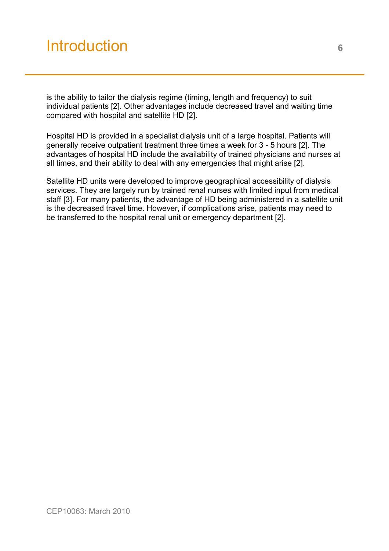# Introduction **<sup>6</sup>**

is the ability to tailor the dialysis regime (timing, length and frequency) to suit individual patients [2]. Other advantages include decreased travel and waiting time compared with hospital and satellite HD [2].

Hospital HD is provided in a specialist dialysis unit of a large hospital. Patients will generally receive outpatient treatment three times a week for 3 - 5 hours [2]. The advantages of hospital HD include the availability of trained physicians and nurses at all times, and their ability to deal with any emergencies that might arise [2].

Satellite HD units were developed to improve geographical accessibility of dialysis services. They are largely run by trained renal nurses with limited input from medical staff [3]. For many patients, the advantage of HD being administered in a satellite unit is the decreased travel time. However, if complications arise, patients may need to be transferred to the hospital renal unit or emergency department [2].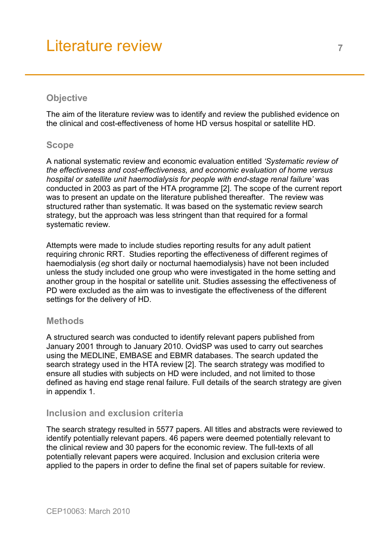# <span id="page-6-0"></span>**Objective**

The aim of the literature review was to identify and review the published evidence on the clinical and cost-effectiveness of home HD versus hospital or satellite HD.

## **Scope**

A national systematic review and economic evaluation entitled *'Systematic review of the effectiveness and cost-effectiveness, and economic evaluation of home versus hospital or satellite unit haemodialysis for people with end-stage renal failure'* was conducted in 2003 as part of the HTA programme [2]. The scope of the current report was to present an update on the literature published thereafter. The review was structured rather than systematic. It was based on the systematic review search strategy, but the approach was less stringent than that required for a formal systematic review.

Attempts were made to include studies reporting results for any adult patient requiring chronic RRT. Studies reporting the effectiveness of different regimes of haemodialysis (*eg* short daily or nocturnal haemodialysis) have not been included unless the study included one group who were investigated in the home setting and another group in the hospital or satellite unit. Studies assessing the effectiveness of PD were excluded as the aim was to investigate the effectiveness of the different settings for the delivery of HD.

### **Methods**

A structured search was conducted to identify relevant papers published from January 2001 through to January 2010. OvidSP was used to carry out searches using the MEDLINE, EMBASE and EBMR databases. The search updated the search strategy used in the HTA review [2]. The search strategy was modified to ensure all studies with subjects on HD were included, and not limited to those defined as having end stage renal failure. Full details of the search strategy are given in appendix 1.

# **Inclusion and exclusion criteria**

The search strategy resulted in 5577 papers. All titles and abstracts were reviewed to identify potentially relevant papers. 46 papers were deemed potentially relevant to the clinical review and 30 papers for the economic review. The full-texts of all potentially relevant papers were acquired. Inclusion and exclusion criteria were applied to the papers in order to define the final set of papers suitable for review.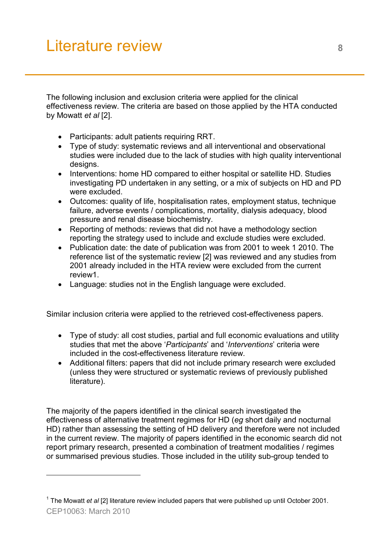l

The following inclusion and exclusion criteria were applied for the clinical effectiveness review. The criteria are based on those applied by the HTA conducted by Mowatt *et al* [2].

- Participants: adult patients requiring RRT.
- Type of study: systematic reviews and all interventional and observational studies were included due to the lack of studies with high quality interventional designs.
- Interventions: home HD compared to either hospital or satellite HD. Studies investigating PD undertaken in any setting, or a mix of subjects on HD and PD were excluded.
- Outcomes: quality of life, hospitalisation rates, employment status, technique failure, adverse events / complications, mortality, dialysis adequacy, blood pressure and renal disease biochemistry.
- Reporting of methods: reviews that did not have a methodology section reporting the strategy used to include and exclude studies were excluded.
- Publication date: the date of publication was from 2001 to week 1 2010. The reference list of the systematic review [2] was reviewed and any studies from 2001 already included in the HTA review were excluded from the current review1.
- Language: studies not in the English language were excluded.

Similar inclusion criteria were applied to the retrieved cost-effectiveness papers.

- Type of study: all cost studies, partial and full economic evaluations and utility studies that met the above '*Participants*' and '*Interventions*' criteria were included in the cost-effectiveness literature review.
- Additional filters: papers that did not include primary research were excluded (unless they were structured or systematic reviews of previously published literature).

The majority of the papers identified in the clinical search investigated the effectiveness of alternative treatment regimes for HD (*eg* short daily and nocturnal HD) rather than assessing the setting of HD delivery and therefore were not included in the current review. The majority of papers identified in the economic search did not report primary research, presented a combination of treatment modalities / regimes or summarised previous studies. Those included in the utility sub-group tended to

CEP10063: March 2010 <sup>1</sup> The Mowatt *et al* [2] literature review included papers that were published up until October 2001.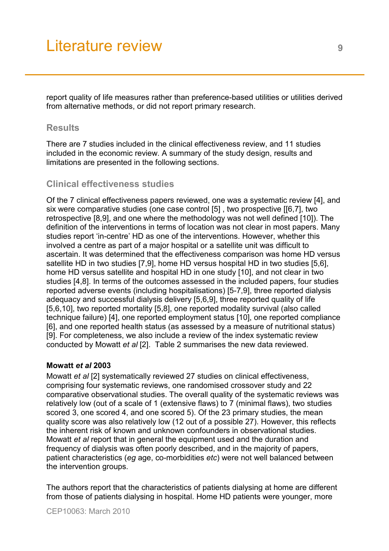report quality of life measures rather than preference-based utilities or utilities derived from alternative methods, or did not report primary research.

## **Results**

There are 7 studies included in the clinical effectiveness review, and 11 studies included in the economic review. A summary of the study design, results and limitations are presented in the following sections.

## **Clinical effectiveness studies**

Of the 7 clinical effectiveness papers reviewed, one was a systematic review [4], and six were comparative studies (one case control [5] , two prospective [[6,7], two retrospective [8,9], and one where the methodology was not well defined [10]). The definition of the interventions in terms of location was not clear in most papers. Many studies report 'in-centre' HD as one of the interventions. However, whether this involved a centre as part of a major hospital or a satellite unit was difficult to ascertain. It was determined that the effectiveness comparison was home HD versus satellite HD in two studies [7,9], home HD versus hospital HD in two studies [5,6], home HD versus satellite and hospital HD in one study [10], and not clear in two studies [4,8]. In terms of the outcomes assessed in the included papers, four studies reported adverse events (including hospitalisations) [5-7,9], three reported dialysis adequacy and successful dialysis delivery [5,6,9], three reported quality of life [5,6,10], two reported mortality [5,8], one reported modality survival (also called technique failure) [4], one reported employment status [10], one reported compliance [6], and one reported health status (as assessed by a measure of nutritional status) [9]. For completeness, we also include a review of the index systematic review conducted by Mowatt *et al* [2]. Table 2 summarises the new data reviewed.

#### **Mowatt** *et al* **2003**

Mowatt *et al* [2] systematically reviewed 27 studies on clinical effectiveness, comprising four systematic reviews, one randomised crossover study and 22 comparative observational studies. The overall quality of the systematic reviews was relatively low (out of a scale of 1 (extensive flaws) to 7 (minimal flaws), two studies scored 3, one scored 4, and one scored 5). Of the 23 primary studies, the mean quality score was also relatively low (12 out of a possible 27). However, this reflects the inherent risk of known and unknown confounders in observational studies. Mowatt *et al* report that in general the equipment used and the duration and frequency of dialysis was often poorly described, and in the majority of papers, patient characteristics (*eg* age, co-morbidities *etc*) were not well balanced between the intervention groups.

The authors report that the characteristics of patients dialysing at home are different from those of patients dialysing in hospital. Home HD patients were younger, more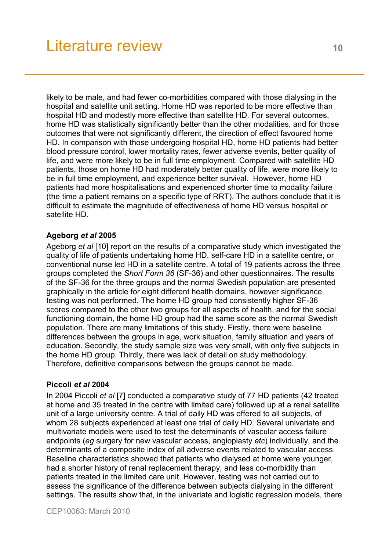likely to be male, and had fewer co-morbidities compared with those dialysing in the hospital and satellite unit setting. Home HD was reported to be more effective than hospital HD and modestly more effective than satellite HD. For several outcomes, home HD was statistically significantly better than the other modalities, and for those outcomes that were not significantly different, the direction of effect favoured home HD. In comparison with those undergoing hospital HD, home HD patients had better blood pressure control, lower mortality rates, fewer adverse events, better quality of life, and were more likely to be in full time employment. Compared with satellite HD patients, those on home HD had moderately better quality of life, were more likely to be in full time employment, and experience better survival. However, home HD patients had more hospitalisations and experienced shorter time to modality failure (the time a patient remains on a specific type of RRT). The authors conclude that it is difficult to estimate the magnitude of effectiveness of home HD versus hospital or satellite HD.

## **Ageborg** *et al* **2005**

Ageborg *et al* [10] report on the results of a comparative study which investigated the quality of life of patients undertaking home HD, self-care HD in a satellite centre, or conventional nurse led HD in a satellite centre. A total of 19 patients across the three groups completed the *Short Form 36* (SF-36) and other questionnaires. The results of the SF-36 for the three groups and the normal Swedish population are presented graphically in the article for eight different health domains, however significance testing was not performed. The home HD group had consistently higher SF-36 scores compared to the other two groups for all aspects of health, and for the social functioning domain, the home HD group had the same score as the normal Swedish population. There are many limitations of this study. Firstly, there were baseline differences between the groups in age, work situation, family situation and years of education. Secondly, the study sample size was very small, with only five subjects in the home HD group. Thirdly, there was lack of detail on study methodology. Therefore, definitive comparisons between the groups cannot be made.

### **Piccoli** *et al* **2004**

In 2004 Piccoli *et al* [7] conducted a comparative study of 77 HD patients (42 treated at home and 35 treated in the centre with limited care) followed up at a renal satellite unit of a large university centre. A trial of daily HD was offered to all subjects, of whom 28 subjects experienced at least one trial of daily HD. Several univariate and multivariate models were used to test the determinants of vascular access failure endpoints (*eg* surgery for new vascular access, angioplasty *etc*) individually, and the determinants of a composite index of all adverse events related to vascular access. Baseline characteristics showed that patients who dialysed at home were younger, had a shorter history of renal replacement therapy, and less co-morbidity than patients treated in the limited care unit. However, testing was not carried out to assess the significance of the difference between subjects dialysing in the different settings. The results show that, in the univariate and logistic regression models, there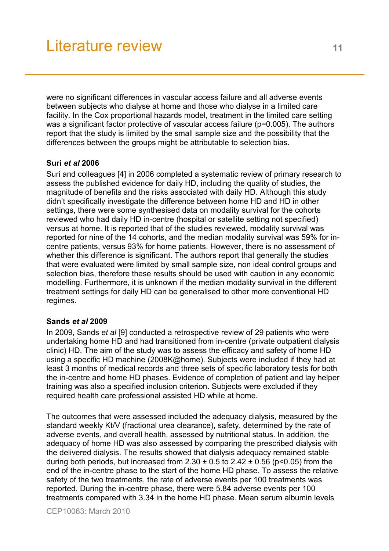were no significant differences in vascular access failure and all adverse events between subjects who dialyse at home and those who dialyse in a limited care facility. In the Cox proportional hazards model, treatment in the limited care setting was a significant factor protective of vascular access failure (p=0.005). The authors report that the study is limited by the small sample size and the possibility that the differences between the groups might be attributable to selection bias.

### **Suri** *et al* **2006**

Suri and colleagues [4] in 2006 completed a systematic review of primary research to assess the published evidence for daily HD, including the quality of studies, the magnitude of benefits and the risks associated with daily HD. Although this study didn't specifically investigate the difference between home HD and HD in other settings, there were some synthesised data on modality survival for the cohorts reviewed who had daily HD in-centre (hospital or satellite setting not specified) versus at home. It is reported that of the studies reviewed, modality survival was reported for nine of the 14 cohorts, and the median modality survival was 59% for incentre patients, versus 93% for home patients. However, there is no assessment of whether this difference is significant. The authors report that generally the studies that were evaluated were limited by small sample size, non ideal control groups and selection bias, therefore these results should be used with caution in any economic modelling. Furthermore, it is unknown if the median modality survival in the different treatment settings for daily HD can be generalised to other more conventional HD regimes.

### **Sands** *et al* **2009**

In 2009, Sands *et al* [9] conducted a retrospective review of 29 patients who were undertaking home HD and had transitioned from in-centre (private outpatient dialysis clinic) HD. The aim of the study was to assess the efficacy and safety of home HD using a specific HD machine (2008K@home). Subjects were included if they had at least 3 months of medical records and three sets of specific laboratory tests for both the in-centre and home HD phases. Evidence of completion of patient and lay helper training was also a specified inclusion criterion. Subjects were excluded if they required health care professional assisted HD while at home.

The outcomes that were assessed included the adequacy dialysis, measured by the standard weekly Kt/V (fractional urea clearance), safety, determined by the rate of adverse events, and overall health, assessed by nutritional status. In addition, the adequacy of home HD was also assessed by comparing the prescribed dialysis with the delivered dialysis. The results showed that dialysis adequacy remained stable during both periods, but increased from  $2.30 \pm 0.5$  to  $2.42 \pm 0.56$  (p<0.05) from the end of the in-centre phase to the start of the home HD phase. To assess the relative safety of the two treatments, the rate of adverse events per 100 treatments was reported. During the in-centre phase, there were 5.84 adverse events per 100 treatments compared with 3.34 in the home HD phase. Mean serum albumin levels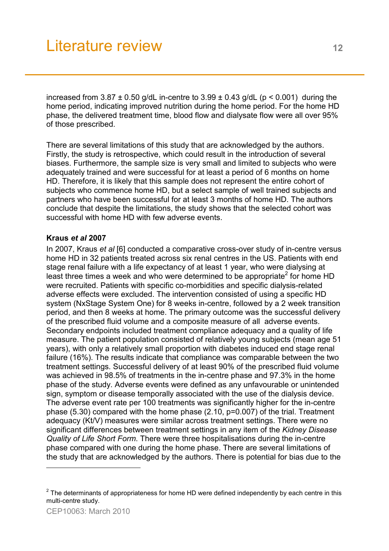increased from  $3.87 \pm 0.50$  g/dL in-centre to  $3.99 \pm 0.43$  g/dL (p < 0.001) during the home period, indicating improved nutrition during the home period. For the home HD phase, the delivered treatment time, blood flow and dialysate flow were all over 95% of those prescribed.

There are several limitations of this study that are acknowledged by the authors. Firstly, the study is retrospective, which could result in the introduction of several biases. Furthermore, the sample size is very small and limited to subjects who were adequately trained and were successful for at least a period of 6 months on home HD. Therefore, it is likely that this sample does not represent the entire cohort of subjects who commence home HD, but a select sample of well trained subjects and partners who have been successful for at least 3 months of home HD. The authors conclude that despite the limitations, the study shows that the selected cohort was successful with home HD with few adverse events.

### **Kraus** *et al* **2007**

In 2007, Kraus *et al* [6] conducted a comparative cross-over study of in-centre versus home HD in 32 patients treated across six renal centres in the US. Patients with end stage renal failure with a life expectancy of at least 1 year, who were dialysing at least three times a week and who were determined to be appropriate<sup>2</sup> for home HD were recruited. Patients with specific co-morbidities and specific dialysis-related adverse effects were excluded. The intervention consisted of using a specific HD system (NxStage System One) for 8 weeks in-centre, followed by a 2 week transition period, and then 8 weeks at home. The primary outcome was the successful delivery of the prescribed fluid volume and a composite measure of all adverse events. Secondary endpoints included treatment compliance adequacy and a quality of life measure. The patient population consisted of relatively young subjects (mean age 51 years), with only a relatively small proportion with diabetes induced end stage renal failure (16%). The results indicate that compliance was comparable between the two treatment settings. Successful delivery of at least 90% of the prescribed fluid volume was achieved in 98.5% of treatments in the in-centre phase and 97.3% in the home phase of the study. Adverse events were defined as any unfavourable or unintended sign, symptom or disease temporally associated with the use of the dialysis device. The adverse event rate per 100 treatments was significantly higher for the in-centre phase (5.30) compared with the home phase (2.10, p=0.007) of the trial. Treatment adequacy (Kt/V) measures were similar across treatment settings. There were no significant differences between treatment settings in any item of the *Kidney Disease Quality of Life Short Form*. There were three hospitalisations during the in-centre phase compared with one during the home phase. There are several limitations of the study that are acknowledged by the authors. There is potential for bias due to the

l

 $2$  The determinants of appropriateness for home HD were defined independently by each centre in this multi-centre study.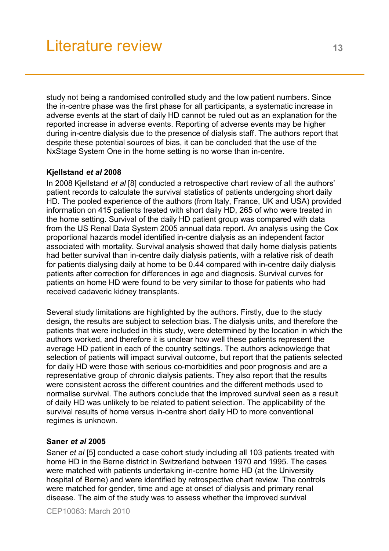study not being a randomised controlled study and the low patient numbers. Since the in-centre phase was the first phase for all participants, a systematic increase in adverse events at the start of daily HD cannot be ruled out as an explanation for the reported increase in adverse events. Reporting of adverse events may be higher during in-centre dialysis due to the presence of dialysis staff. The authors report that despite these potential sources of bias, it can be concluded that the use of the NxStage System One in the home setting is no worse than in-centre.

### **Kjellstand** *et al* **2008**

In 2008 Kjellstand *et al* [8] conducted a retrospective chart review of all the authors' patient records to calculate the survival statistics of patients undergoing short daily HD. The pooled experience of the authors (from Italy, France, UK and USA) provided information on 415 patients treated with short daily HD, 265 of who were treated in the home setting. Survival of the daily HD patient group was compared with data from the US Renal Data System 2005 annual data report. An analysis using the Cox proportional hazards model identified in-centre dialysis as an independent factor associated with mortality. Survival analysis showed that daily home dialysis patients had better survival than in-centre daily dialysis patients, with a relative risk of death for patients dialysing daily at home to be 0.44 compared with in-centre daily dialysis patients after correction for differences in age and diagnosis. Survival curves for patients on home HD were found to be very similar to those for patients who had received cadaveric kidney transplants.

Several study limitations are highlighted by the authors. Firstly, due to the study design, the results are subject to selection bias. The dialysis units, and therefore the patients that were included in this study, were determined by the location in which the authors worked, and therefore it is unclear how well these patients represent the average HD patient in each of the country settings. The authors acknowledge that selection of patients will impact survival outcome, but report that the patients selected for daily HD were those with serious co-morbidities and poor prognosis and are a representative group of chronic dialysis patients. They also report that the results were consistent across the different countries and the different methods used to normalise survival. The authors conclude that the improved survival seen as a result of daily HD was unlikely to be related to patient selection. The applicability of the survival results of home versus in-centre short daily HD to more conventional regimes is unknown.

#### **Saner** *et al* **2005**

Saner *et al* [5] conducted a case cohort study including all 103 patients treated with home HD in the Berne district in Switzerland between 1970 and 1995. The cases were matched with patients undertaking in-centre home HD (at the University hospital of Berne) and were identified by retrospective chart review. The controls were matched for gender, time and age at onset of dialysis and primary renal disease. The aim of the study was to assess whether the improved survival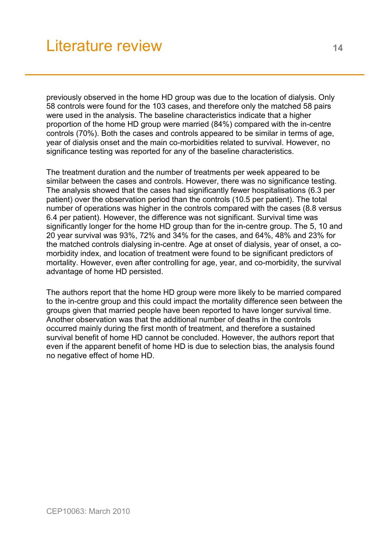previously observed in the home HD group was due to the location of dialysis. Only 58 controls were found for the 103 cases, and therefore only the matched 58 pairs were used in the analysis. The baseline characteristics indicate that a higher proportion of the home HD group were married (84%) compared with the in-centre controls (70%). Both the cases and controls appeared to be similar in terms of age, year of dialysis onset and the main co-morbidities related to survival. However, no significance testing was reported for any of the baseline characteristics.

The treatment duration and the number of treatments per week appeared to be similar between the cases and controls. However, there was no significance testing. The analysis showed that the cases had significantly fewer hospitalisations (6.3 per patient) over the observation period than the controls (10.5 per patient). The total number of operations was higher in the controls compared with the cases (8.8 versus 6.4 per patient). However, the difference was not significant. Survival time was significantly longer for the home HD group than for the in-centre group. The 5, 10 and 20 year survival was 93%, 72% and 34% for the cases, and 64%, 48% and 23% for the matched controls dialysing in-centre. Age at onset of dialysis, year of onset, a comorbidity index, and location of treatment were found to be significant predictors of mortality. However, even after controlling for age, year, and co-morbidity, the survival advantage of home HD persisted.

The authors report that the home HD group were more likely to be married compared to the in-centre group and this could impact the mortality difference seen between the groups given that married people have been reported to have longer survival time. Another observation was that the additional number of deaths in the controls occurred mainly during the first month of treatment, and therefore a sustained survival benefit of home HD cannot be concluded. However, the authors report that even if the apparent benefit of home HD is due to selection bias, the analysis found no negative effect of home HD.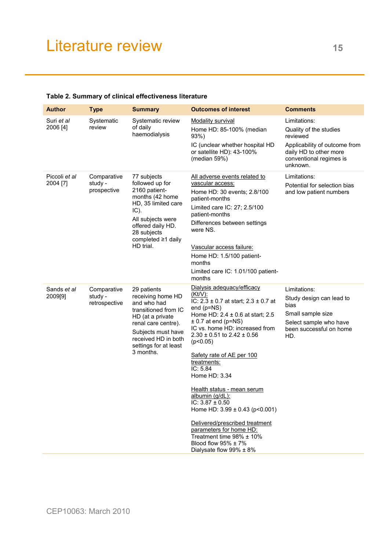| <b>Author</b>             | <b>Type</b>                             | <b>Summary</b>                                                                                                                                                                                        | <b>Outcomes of interest</b>                                                                                                                                                                                                                                                                                                                                                                                                                                                                                                                                                                         | <b>Comments</b>                                                                                                                                      |
|---------------------------|-----------------------------------------|-------------------------------------------------------------------------------------------------------------------------------------------------------------------------------------------------------|-----------------------------------------------------------------------------------------------------------------------------------------------------------------------------------------------------------------------------------------------------------------------------------------------------------------------------------------------------------------------------------------------------------------------------------------------------------------------------------------------------------------------------------------------------------------------------------------------------|------------------------------------------------------------------------------------------------------------------------------------------------------|
| Suri et al<br>2006 [4]    | Systematic<br>review                    | Systematic review<br>of daily<br>haemodialysis                                                                                                                                                        | <b>Modality survival</b><br>Home HD: 85-100% (median<br>93%<br>IC (unclear whether hospital HD<br>or satellite HD): 43-100%<br>(median 59%)                                                                                                                                                                                                                                                                                                                                                                                                                                                         | Limitations:<br>Quality of the studies<br>reviewed<br>Applicability of outcome from<br>daily HD to other more<br>conventional regimes is<br>unknown. |
| Piccoli et al<br>2004 [7] | Comparative<br>study -<br>prospective   | 77 subjects<br>followed up for<br>2160 patient-<br>months (42 home<br>HD, 35 limited care<br>IC).<br>All subjects were<br>offered daily HD.<br>28 subjects<br>completed ≥1 daily<br>HD trial.         | All adverse events related to<br>vascular access:<br>Home HD: 30 events; 2.8/100<br>patient-months<br>Limited care IC: 27; 2.5/100<br>patient-months<br>Differences between settings<br>were NS.<br>Vascular access failure:<br>Home HD: 1.5/100 patient-<br>months<br>Limited care IC: 1.01/100 patient-<br>months                                                                                                                                                                                                                                                                                 | Limitations:<br>Potential for selection bias<br>and low patient numbers                                                                              |
| Sands et al<br>2009[9]    | Comparative<br>study -<br>retrospective | 29 patients<br>receiving home HD<br>and who had<br>transitioned from IC<br>HD (at a private<br>renal care centre).<br>Subjects must have<br>received HD in both<br>settings for at least<br>3 months. | Dialysis adequacy/efficacy<br>$(Kt/V)$ :<br>IC: $2.3 \pm 0.7$ at start; $2.3 \pm 0.7$ at<br>end $(p=NS)$<br>Home HD: 2.4 ± 0.6 at start; 2.5<br>$\pm$ 0.7 at end (p=NS)<br>IC vs. home HD: increased from<br>$2.30 \pm 0.51$ to $2.42 \pm 0.56$<br>(p<0.05)<br>Safety rate of AE per 100<br>treatments:<br>IC: 5.84<br>Home HD: 3.34<br>Health status - mean serum<br>albumin (g/dL):<br>IC: $3.87 \pm 0.50$<br>Home HD: $3.99 \pm 0.43$ (p<0.001)<br>Delivered/prescribed treatment<br>parameters for home HD:<br>Treatment time 98% ± 10%<br>Blood flow 95% ± 7%<br>Dialysate flow $99\% \pm 8\%$ | Limitations:<br>Study design can lead to<br>bias<br>Small sample size<br>Select sample who have<br>been successful on home<br>HD.                    |

### **Table 2. Summary of clinical effectiveness literature**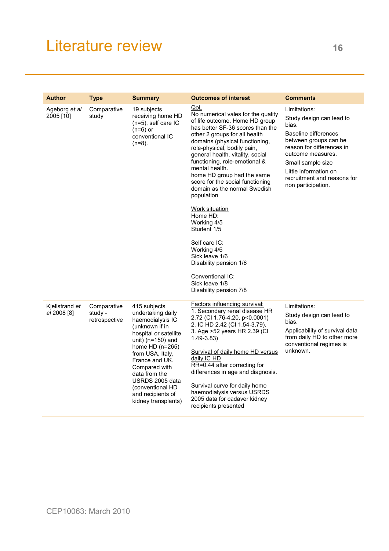| <b>Author</b>                 | <b>Type</b>                             | <b>Summary</b>                                                                                                                                                                                                                                                                                           | <b>Outcomes of interest</b>                                                                                                                                                                                                                                                                                                                                                                                                                                                                                                                                                                                                             | <b>Comments</b>                                                                                                                                                                                                                                         |
|-------------------------------|-----------------------------------------|----------------------------------------------------------------------------------------------------------------------------------------------------------------------------------------------------------------------------------------------------------------------------------------------------------|-----------------------------------------------------------------------------------------------------------------------------------------------------------------------------------------------------------------------------------------------------------------------------------------------------------------------------------------------------------------------------------------------------------------------------------------------------------------------------------------------------------------------------------------------------------------------------------------------------------------------------------------|---------------------------------------------------------------------------------------------------------------------------------------------------------------------------------------------------------------------------------------------------------|
| Ageborg et al<br>2005 [10]    | Comparative<br>study                    | 19 subjects<br>receiving home HD<br>(n=5), self care IC<br>$(n=6)$ or<br>conventional IC<br>(n=8).                                                                                                                                                                                                       | QoL<br>No numerical vales for the quality<br>of life outcome. Home HD group<br>has better SF-36 scores than the<br>other 2 groups for all health<br>domains (physical functioning,<br>role-physical, bodily pain,<br>general health, vitality, social<br>functioning, role-emotional &<br>mental health.<br>home HD group had the same<br>score for the social functioning<br>domain as the normal Swedish<br>population<br><b>Work situation</b><br>Home HD:<br>Working 4/5<br>Student 1/5<br>Self care IC:<br>Working 4/6<br>Sick leave 1/6<br>Disability pension 1/6<br>Conventional IC:<br>Sick leave 1/8<br>Disability pension 7/8 | Limitations:<br>Study design can lead to<br>bias.<br>Baseline differences<br>between groups can be<br>reason for differences in<br>outcome measures.<br>Small sample size<br>Little information on<br>recruitment and reasons for<br>non participation. |
| Kjellstrand et<br>al 2008 [8] | Comparative<br>study -<br>retrospective | 415 subjects<br>undertaking daily<br>haemodialysis IC<br>(unknown if in<br>hospital or satellite<br>unit) ( $n=150$ ) and<br>home $HD(n=265)$<br>from USA, Italy,<br>France and UK.<br>Compared with<br>data from the<br>USRDS 2005 data<br>(conventional HD<br>and recipients of<br>kidney transplants) | <b>Factors influencing survival:</b><br>1. Secondary renal disease HR<br>2.72 (CI 1.76-4.20, p<0.0001)<br>2. IC HD 2.42 (CI 1.54-3.79).<br>3. Age > 52 years HR 2.39 (CI<br>$1.49 - 3.83$<br>Survival of daily home HD versus<br>daily IC HD<br>RR=0.44 after correcting for<br>differences in age and diagnosis.<br>Survival curve for daily home<br>haemodialysis versus USRDS<br>2005 data for cadaver kidney<br>recipients presented                                                                                                                                                                                                | Limitations:<br>Study design can lead to<br>bias.<br>Applicability of survival data<br>from daily HD to other more<br>conventional regimes is<br>unknown.                                                                                               |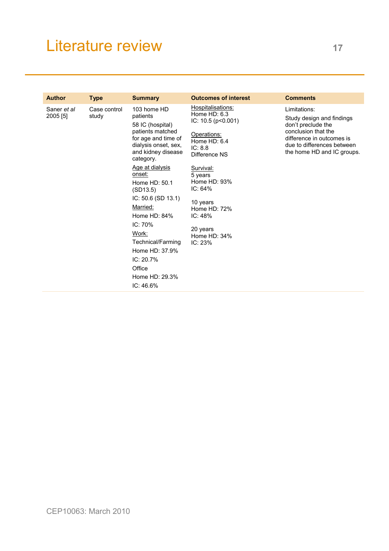| <b>Author</b>           | <b>Type</b>           | <b>Summary</b>                                                                                                                                    | <b>Outcomes of interest</b>                                                                                                    | <b>Comments</b>                                                                                                                                                                 |
|-------------------------|-----------------------|---------------------------------------------------------------------------------------------------------------------------------------------------|--------------------------------------------------------------------------------------------------------------------------------|---------------------------------------------------------------------------------------------------------------------------------------------------------------------------------|
| Saner et al<br>2005 [5] | Case control<br>study | 103 home HD<br>patients<br>58 IC (hospital)<br>patients matched<br>for age and time of<br>dialysis onset, sex,<br>and kidney disease<br>category. | Hospitalisations:<br>Home $HD: 6.3$<br>IC: $10.5$ ( $p < 0.001$ )<br>Operations:<br>Home $HD: 6.4$<br>IC: 8.8<br>Difference NS | Limitations:<br>Study design and findings<br>don't preclude the<br>conclusion that the<br>difference in outcomes is<br>due to differences between<br>the home HD and IC groups. |
|                         |                       | Age at dialysis<br>onset:<br>Home HD: 50.1<br>(SD13.5)<br>IC: 50.6 (SD 13.1)                                                                      | Survival:<br>5 years<br>Home $HD: 93\%$<br>IC: 64%<br>10 years                                                                 |                                                                                                                                                                                 |
|                         |                       | Married:<br>Home HD: 84%                                                                                                                          | Home HD: 72%<br>IC: 48%                                                                                                        |                                                                                                                                                                                 |
|                         |                       | IC: 70%<br>Work:<br>Technical/Farming<br>Home HD: 37.9%<br>IC: 20.7%<br>Office<br>Home HD: 29.3%<br>IC: 46.6%                                     | 20 years<br>Home HD: 34%<br>IC: 23%                                                                                            |                                                                                                                                                                                 |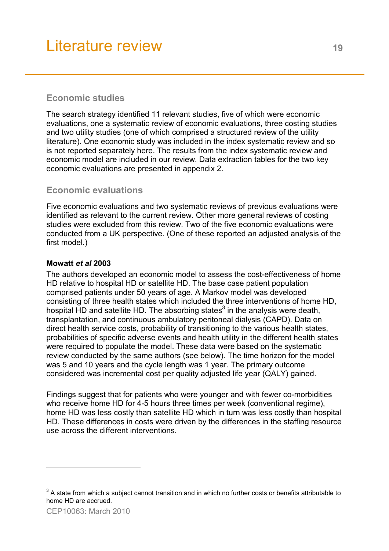# **Economic studies**

The search strategy identified 11 relevant studies, five of which were economic evaluations, one a systematic review of economic evaluations, three costing studies and two utility studies (one of which comprised a structured review of the utility literature). One economic study was included in the index systematic review and so is not reported separately here. The results from the index systematic review and economic model are included in our review. Data extraction tables for the two key economic evaluations are presented in appendix 2.

# **Economic evaluations**

Five economic evaluations and two systematic reviews of previous evaluations were identified as relevant to the current review. Other more general reviews of costing studies were excluded from this review. Two of the five economic evaluations were conducted from a UK perspective. (One of these reported an adjusted analysis of the first model.)

### **Mowatt** *et al* **2003**

The authors developed an economic model to assess the cost-effectiveness of home HD relative to hospital HD or satellite HD. The base case patient population comprised patients under 50 years of age. A Markov model was developed consisting of three health states which included the three interventions of home HD, hospital HD and satellite HD. The absorbing states<sup>3</sup> in the analysis were death, transplantation, and continuous ambulatory peritoneal dialysis (CAPD). Data on direct health service costs, probability of transitioning to the various health states, probabilities of specific adverse events and health utility in the different health states were required to populate the model. These data were based on the systematic review conducted by the same authors (see below). The time horizon for the model was 5 and 10 years and the cycle length was 1 year. The primary outcome considered was incremental cost per quality adjusted life year (QALY) gained.

Findings suggest that for patients who were younger and with fewer co-morbidities who receive home HD for 4-5 hours three times per week (conventional regime), home HD was less costly than satellite HD which in turn was less costly than hospital HD. These differences in costs were driven by the differences in the staffing resource use across the different interventions.

l

 $3$  A state from which a subject cannot transition and in which no further costs or benefits attributable to home HD are accrued.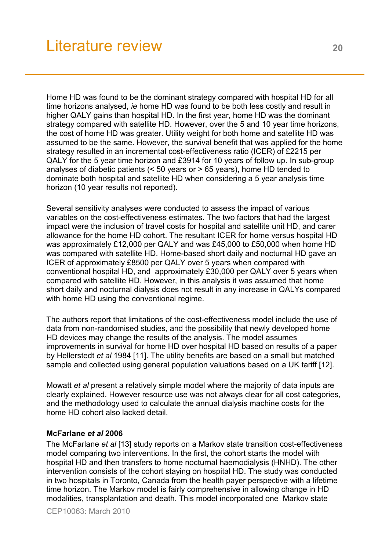Home HD was found to be the dominant strategy compared with hospital HD for all time horizons analysed, *ie* home HD was found to be both less costly and result in higher QALY gains than hospital HD. In the first year, home HD was the dominant strategy compared with satellite HD. However, over the 5 and 10 year time horizons, the cost of home HD was greater. Utility weight for both home and satellite HD was assumed to be the same. However, the survival benefit that was applied for the home strategy resulted in an incremental cost-effectiveness ratio (ICER) of £2215 per QALY for the 5 year time horizon and £3914 for 10 years of follow up. In sub-group analyses of diabetic patients (< 50 years or > 65 years), home HD tended to dominate both hospital and satellite HD when considering a 5 year analysis time horizon (10 year results not reported).

Several sensitivity analyses were conducted to assess the impact of various variables on the cost-effectiveness estimates. The two factors that had the largest impact were the inclusion of travel costs for hospital and satellite unit HD, and carer allowance for the home HD cohort. The resultant ICER for home versus hospital HD was approximately £12,000 per QALY and was £45,000 to £50,000 when home HD was compared with satellite HD. Home-based short daily and nocturnal HD gave an ICER of approximately £8500 per QALY over 5 years when compared with conventional hospital HD, and approximately £30,000 per QALY over 5 years when compared with satellite HD. However, in this analysis it was assumed that home short daily and nocturnal dialysis does not result in any increase in QALYs compared with home HD using the conventional regime.

The authors report that limitations of the cost-effectiveness model include the use of data from non-randomised studies, and the possibility that newly developed home HD devices may change the results of the analysis. The model assumes improvements in survival for home HD over hospital HD based on results of a paper by Hellerstedt *et al* 1984 [11]. The utility benefits are based on a small but matched sample and collected using general population valuations based on a UK tariff [12].

Mowatt *et al* present a relatively simple model where the majority of data inputs are clearly explained. However resource use was not always clear for all cost categories, and the methodology used to calculate the annual dialysis machine costs for the home HD cohort also lacked detail.

#### **McFarlane** *et al* **2006**

The McFarlane *et al* [13] study reports on a Markov state transition cost-effectiveness model comparing two interventions. In the first, the cohort starts the model with hospital HD and then transfers to home nocturnal haemodialysis (HNHD). The other intervention consists of the cohort staying on hospital HD. The study was conducted in two hospitals in Toronto, Canada from the health payer perspective with a lifetime time horizon. The Markov model is fairly comprehensive in allowing change in HD modalities, transplantation and death. This model incorporated one Markov state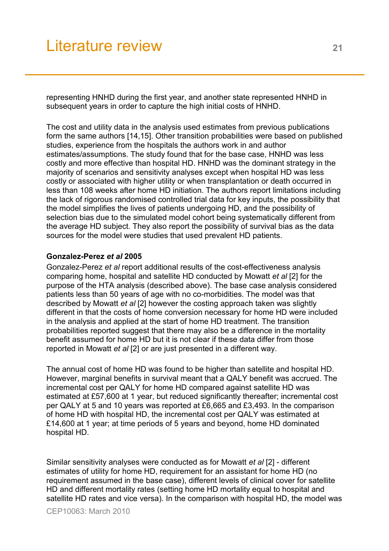representing HNHD during the first year, and another state represented HNHD in subsequent years in order to capture the high initial costs of HNHD.

The cost and utility data in the analysis used estimates from previous publications form the same authors [14,15]. Other transition probabilities were based on published studies, experience from the hospitals the authors work in and author estimates/assumptions. The study found that for the base case, HNHD was less costly and more effective than hospital HD. HNHD was the dominant strategy in the majority of scenarios and sensitivity analyses except when hospital HD was less costly or associated with higher utility or when transplantation or death occurred in less than 108 weeks after home HD initiation. The authors report limitations including the lack of rigorous randomised controlled trial data for key inputs, the possibility that the model simplifies the lives of patients undergoing HD, and the possibility of selection bias due to the simulated model cohort being systematically different from the average HD subject. They also report the possibility of survival bias as the data sources for the model were studies that used prevalent HD patients.

#### **Gonzalez-Perez** *et al* **2005**

Gonzalez-Perez *et al* report additional results of the cost-effectiveness analysis comparing home, hospital and satellite HD conducted by Mowatt *et al* [2] for the purpose of the HTA analysis (described above). The base case analysis considered patients less than 50 years of age with no co-morbidities. The model was that described by Mowatt *et al* [2] however the costing approach taken was slightly different in that the costs of home conversion necessary for home HD were included in the analysis and applied at the start of home HD treatment. The transition probabilities reported suggest that there may also be a difference in the mortality benefit assumed for home HD but it is not clear if these data differ from those reported in Mowatt *et al* [2] or are just presented in a different way.

The annual cost of home HD was found to be higher than satellite and hospital HD. However, marginal benefits in survival meant that a QALY benefit was accrued. The incremental cost per QALY for home HD compared against satellite HD was estimated at £57,600 at 1 year, but reduced significantly thereafter; incremental cost per QALY at 5 and 10 years was reported at £6,665 and £3,493. In the comparison of home HD with hospital HD, the incremental cost per QALY was estimated at £14,600 at 1 year; at time periods of 5 years and beyond, home HD dominated hospital HD.

Similar sensitivity analyses were conducted as for Mowatt *et al* [2] - different estimates of utility for home HD, requirement for an assistant for home HD (no requirement assumed in the base case), different levels of clinical cover for satellite HD and different mortality rates (setting home HD mortality equal to hospital and satellite HD rates and vice versa). In the comparison with hospital HD, the model was

CEP10063: March 2010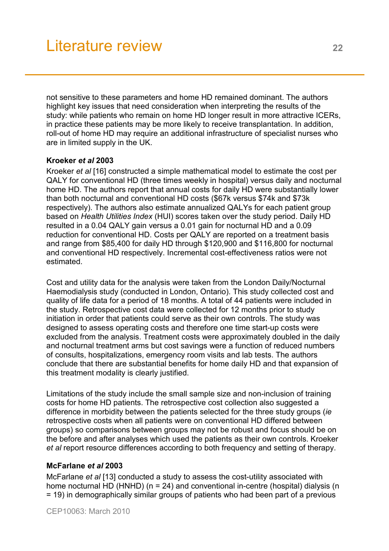not sensitive to these parameters and home HD remained dominant. The authors highlight key issues that need consideration when interpreting the results of the study: while patients who remain on home HD longer result in more attractive ICERs, in practice these patients may be more likely to receive transplantation. In addition, roll-out of home HD may require an additional infrastructure of specialist nurses who are in limited supply in the UK.

### **Kroeker** *et al* **2003**

Kroeker *et al* [16] constructed a simple mathematical model to estimate the cost per QALY for conventional HD (three times weekly in hospital) versus daily and nocturnal home HD. The authors report that annual costs for daily HD were substantially lower than both nocturnal and conventional HD costs (\$67k versus \$74k and \$73k respectively). The authors also estimate annualized QALYs for each patient group based on *Health Utilities Index* (HUI) scores taken over the study period. Daily HD resulted in a 0.04 QALY gain versus a 0.01 gain for nocturnal HD and a 0.09 reduction for conventional HD. Costs per QALY are reported on a treatment basis and range from \$85,400 for daily HD through \$120,900 and \$116,800 for nocturnal and conventional HD respectively. Incremental cost-effectiveness ratios were not estimated.

Cost and utility data for the analysis were taken from the London Daily/Nocturnal Haemodialysis study (conducted in London, Ontario). This study collected cost and quality of life data for a period of 18 months. A total of 44 patients were included in the study. Retrospective cost data were collected for 12 months prior to study initiation in order that patients could serve as their own controls. The study was designed to assess operating costs and therefore one time start-up costs were excluded from the analysis. Treatment costs were approximately doubled in the daily and nocturnal treatment arms but cost savings were a function of reduced numbers of consults, hospitalizations, emergency room visits and lab tests. The authors conclude that there are substantial benefits for home daily HD and that expansion of this treatment modality is clearly justified.

Limitations of the study include the small sample size and non-inclusion of training costs for home HD patients. The retrospective cost collection also suggested a difference in morbidity between the patients selected for the three study groups (*ie* retrospective costs when all patients were on conventional HD differed between groups) so comparisons between groups may not be robust and focus should be on the before and after analyses which used the patients as their own controls. Kroeker *et al* report resource differences according to both frequency and setting of therapy.

#### **McFarlane** *et al* **2003**

McFarlane *et al* [13] conducted a study to assess the cost-utility associated with home nocturnal HD (HNHD) (n = 24) and conventional in-centre (hospital) dialysis (n = 19) in demographically similar groups of patients who had been part of a previous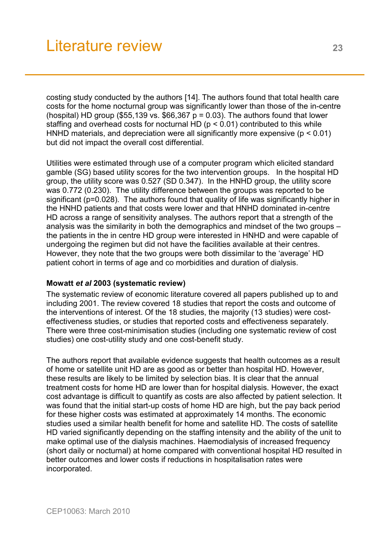costing study conducted by the authors [14]. The authors found that total health care costs for the home nocturnal group was significantly lower than those of the in-centre (hospital) HD group (\$55,139 vs. \$66,367  $p = 0.03$ ). The authors found that lower staffing and overhead costs for nocturnal HD ( $p < 0.01$ ) contributed to this while HNHD materials, and depreciation were all significantly more expensive ( $p < 0.01$ ) but did not impact the overall cost differential.

Utilities were estimated through use of a computer program which elicited standard gamble (SG) based utility scores for the two intervention groups. In the hospital HD group, the utility score was 0.527 (SD 0.347). In the HNHD group, the utility score was 0.772 (0.230). The utility difference between the groups was reported to be significant (p=0.028). The authors found that quality of life was significantly higher in the HNHD patients and that costs were lower and that HNHD dominated in-centre HD across a range of sensitivity analyses. The authors report that a strength of the analysis was the similarity in both the demographics and mindset of the two groups – the patients in the in centre HD group were interested in HNHD and were capable of undergoing the regimen but did not have the facilities available at their centres. However, they note that the two groups were both dissimilar to the 'average' HD patient cohort in terms of age and co morbidities and duration of dialysis.

### **Mowatt** *et al* **2003 (systematic review)**

The systematic review of economic literature covered all papers published up to and including 2001. The review covered 18 studies that report the costs and outcome of the interventions of interest. Of the 18 studies, the majority (13 studies) were costeffectiveness studies, or studies that reported costs and effectiveness separately. There were three cost-minimisation studies (including one systematic review of cost studies) one cost-utility study and one cost-benefit study.

The authors report that available evidence suggests that health outcomes as a result of home or satellite unit HD are as good as or better than hospital HD. However, these results are likely to be limited by selection bias. It is clear that the annual treatment costs for home HD are lower than for hospital dialysis. However, the exact cost advantage is difficult to quantify as costs are also affected by patient selection. It was found that the initial start-up costs of home HD are high, but the pay back period for these higher costs was estimated at approximately 14 months. The economic studies used a similar health benefit for home and satellite HD. The costs of satellite HD varied significantly depending on the staffing intensity and the ability of the unit to make optimal use of the dialysis machines. Haemodialysis of increased frequency (short daily or nocturnal) at home compared with conventional hospital HD resulted in better outcomes and lower costs if reductions in hospitalisation rates were incorporated.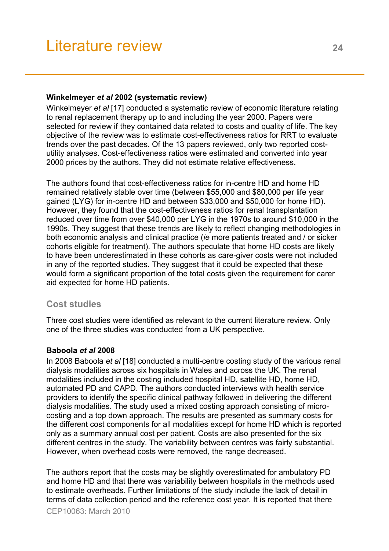#### **Winkelmeyer** *et al* **2002 (systematic review)**

Winkelmeyer *et al* [17] conducted a systematic review of economic literature relating to renal replacement therapy up to and including the year 2000. Papers were selected for review if they contained data related to costs and quality of life. The key objective of the review was to estimate cost-effectiveness ratios for RRT to evaluate trends over the past decades. Of the 13 papers reviewed, only two reported costutility analyses. Cost-effectiveness ratios were estimated and converted into year 2000 prices by the authors. They did not estimate relative effectiveness.

The authors found that cost-effectiveness ratios for in-centre HD and home HD remained relatively stable over time (between \$55,000 and \$80,000 per life year gained (LYG) for in-centre HD and between \$33,000 and \$50,000 for home HD). However, they found that the cost-effectiveness ratios for renal transplantation reduced over time from over \$40,000 per LYG in the 1970s to around \$10,000 in the 1990s. They suggest that these trends are likely to reflect changing methodologies in both economic analysis and clinical practice (*ie* more patients treated and / or sicker cohorts eligible for treatment). The authors speculate that home HD costs are likely to have been underestimated in these cohorts as care-giver costs were not included in any of the reported studies. They suggest that it could be expected that these would form a significant proportion of the total costs given the requirement for carer aid expected for home HD patients.

# **Cost studies**

Three cost studies were identified as relevant to the current literature review. Only one of the three studies was conducted from a UK perspective.

### **Baboola** *et al* **2008**

In 2008 Baboola *et al* [18] conducted a multi-centre costing study of the various renal dialysis modalities across six hospitals in Wales and across the UK. The renal modalities included in the costing included hospital HD, satellite HD, home HD, automated PD and CAPD. The authors conducted interviews with health service providers to identify the specific clinical pathway followed in delivering the different dialysis modalities. The study used a mixed costing approach consisting of microcosting and a top down approach. The results are presented as summary costs for the different cost components for all modalities except for home HD which is reported only as a summary annual cost per patient. Costs are also presented for the six different centres in the study. The variability between centres was fairly substantial. However, when overhead costs were removed, the range decreased.

The authors report that the costs may be slightly overestimated for ambulatory PD and home HD and that there was variability between hospitals in the methods used to estimate overheads. Further limitations of the study include the lack of detail in terms of data collection period and the reference cost year. It is reported that there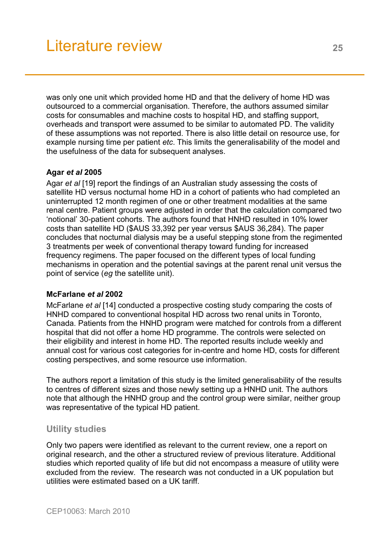was only one unit which provided home HD and that the delivery of home HD was outsourced to a commercial organisation. Therefore, the authors assumed similar costs for consumables and machine costs to hospital HD, and staffing support, overheads and transport were assumed to be similar to automated PD. The validity of these assumptions was not reported. There is also little detail on resource use, for example nursing time per patient *etc*. This limits the generalisability of the model and the usefulness of the data for subsequent analyses.

## **Agar** *et al* **2005**

Agar *et al* [19] report the findings of an Australian study assessing the costs of satellite HD versus nocturnal home HD in a cohort of patients who had completed an uninterrupted 12 month regimen of one or other treatment modalities at the same renal centre. Patient groups were adjusted in order that the calculation compared two 'notional' 30-patient cohorts. The authors found that HNHD resulted in 10% lower costs than satellite HD (\$AUS 33,392 per year versus \$AUS 36,284). The paper concludes that nocturnal dialysis may be a useful stepping stone from the regimented 3 treatments per week of conventional therapy toward funding for increased frequency regimens. The paper focused on the different types of local funding mechanisms in operation and the potential savings at the parent renal unit versus the point of service (*eg* the satellite unit).

### **McFarlane** *et al* **2002**

McFarlane *et al* [14] conducted a prospective costing study comparing the costs of HNHD compared to conventional hospital HD across two renal units in Toronto, Canada. Patients from the HNHD program were matched for controls from a different hospital that did not offer a home HD programme. The controls were selected on their eligibility and interest in home HD. The reported results include weekly and annual cost for various cost categories for in-centre and home HD, costs for different costing perspectives, and some resource use information.

The authors report a limitation of this study is the limited generalisability of the results to centres of different sizes and those newly setting up a HNHD unit. The authors note that although the HNHD group and the control group were similar, neither group was representative of the typical HD patient.

# **Utility studies**

Only two papers were identified as relevant to the current review, one a report on original research, and the other a structured review of previous literature. Additional studies which reported quality of life but did not encompass a measure of utility were excluded from the review. The research was not conducted in a UK population but utilities were estimated based on a UK tariff.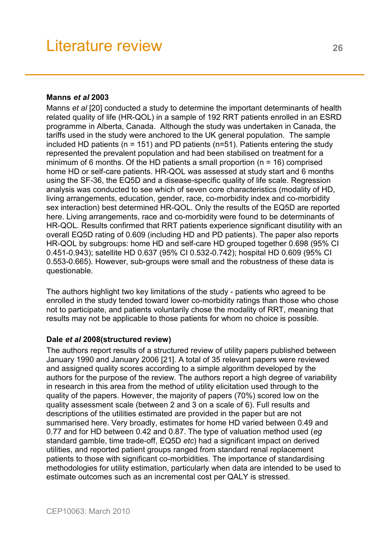#### **Manns** *et al* **2003**

Manns *et al* [20] conducted a study to determine the important determinants of health related quality of life (HR-QOL) in a sample of 192 RRT patients enrolled in an ESRD programme in Alberta, Canada. Although the study was undertaken in Canada, the tariffs used in the study were anchored to the UK general population. The sample included HD patients (n = 151) and PD patients (n=51). Patients entering the study represented the prevalent population and had been stabilised on treatment for a minimum of 6 months. Of the HD patients a small proportion (n = 16) comprised home HD or self-care patients. HR-QOL was assessed at study start and 6 months using the SF-36, the EQ5D and a disease-specific quality of life scale. Regression analysis was conducted to see which of seven core characteristics (modality of HD, living arrangements, education, gender, race, co-morbidity index and co-morbidity sex interaction) best determined HR-QOL. Only the results of the EQ5D are reported here. Living arrangements, race and co-morbidity were found to be determinants of HR-QOL. Results confirmed that RRT patients experience significant disutility with an overall EQ5D rating of 0.609 (including HD and PD patients). The paper also reports HR-QOL by subgroups: home HD and self-care HD grouped together 0.698 (95% CI 0.451-0.943); satellite HD 0.637 (95% CI 0.532-0.742); hospital HD 0.609 (95% CI 0.553-0.665). However, sub-groups were small and the robustness of these data is questionable.

The authors highlight two key limitations of the study - patients who agreed to be enrolled in the study tended toward lower co-morbidity ratings than those who chose not to participate, and patients voluntarily chose the modality of RRT, meaning that results may not be applicable to those patients for whom no choice is possible.

#### **Dale** *et al* **2008(structured review)**

The authors report results of a structured review of utility papers published between January 1990 and January 2006 [21]. A total of 35 relevant papers were reviewed and assigned quality scores according to a simple algorithm developed by the authors for the purpose of the review. The authors report a high degree of variability in research in this area from the method of utility elicitation used through to the quality of the papers. However, the majority of papers (70%) scored low on the quality assessment scale (between 2 and 3 on a scale of 6). Full results and descriptions of the utilities estimated are provided in the paper but are not summarised here. Very broadly, estimates for home HD varied between 0.49 and 0.77 and for HD between 0.42 and 0.87. The type of valuation method used (*eg* standard gamble, time trade-off, EQ5D *etc*) had a significant impact on derived utilities, and reported patient groups ranged from standard renal replacement patients to those with significant co-morbidities. The importance of standardising methodologies for utility estimation, particularly when data are intended to be used to estimate outcomes such as an incremental cost per QALY is stressed.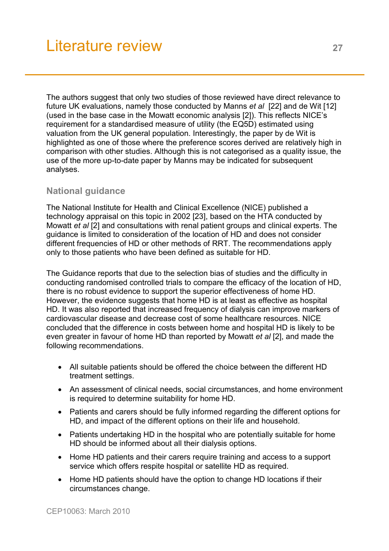The authors suggest that only two studies of those reviewed have direct relevance to future UK evaluations, namely those conducted by Manns *et al* [22] and de Wit [12] (used in the base case in the Mowatt economic analysis [2]). This reflects NICE's requirement for a standardised measure of utility (the EQ5D) estimated using valuation from the UK general population. Interestingly, the paper by de Wit is highlighted as one of those where the preference scores derived are relatively high in comparison with other studies. Although this is not categorised as a quality issue, the use of the more up-to-date paper by Manns may be indicated for subsequent analyses.

# **National guidance**

The National Institute for Health and Clinical Excellence (NICE) published a technology appraisal on this topic in 2002 [23], based on the HTA conducted by Mowatt *et al* [2] and consultations with renal patient groups and clinical experts. The guidance is limited to consideration of the location of HD and does not consider different frequencies of HD or other methods of RRT. The recommendations apply only to those patients who have been defined as suitable for HD.

The Guidance reports that due to the selection bias of studies and the difficulty in conducting randomised controlled trials to compare the efficacy of the location of HD, there is no robust evidence to support the superior effectiveness of home HD. However, the evidence suggests that home HD is at least as effective as hospital HD. It was also reported that increased frequency of dialysis can improve markers of cardiovascular disease and decrease cost of some healthcare resources. NICE concluded that the difference in costs between home and hospital HD is likely to be even greater in favour of home HD than reported by Mowatt *et al* [2], and made the following recommendations.

- All suitable patients should be offered the choice between the different HD treatment settings.
- An assessment of clinical needs, social circumstances, and home environment is required to determine suitability for home HD.
- Patients and carers should be fully informed regarding the different options for HD, and impact of the different options on their life and household.
- Patients undertaking HD in the hospital who are potentially suitable for home HD should be informed about all their dialysis options.
- Home HD patients and their carers require training and access to a support service which offers respite hospital or satellite HD as required.
- Home HD patients should have the option to change HD locations if their circumstances change.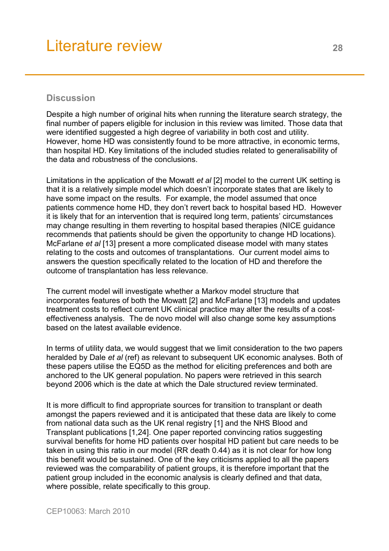# **Discussion**

Despite a high number of original hits when running the literature search strategy, the final number of papers eligible for inclusion in this review was limited. Those data that were identified suggested a high degree of variability in both cost and utility. However, home HD was consistently found to be more attractive, in economic terms, than hospital HD. Key limitations of the included studies related to generalisability of the data and robustness of the conclusions.

Limitations in the application of the Mowatt *et al* [2] model to the current UK setting is that it is a relatively simple model which doesn't incorporate states that are likely to have some impact on the results. For example, the model assumed that once patients commence home HD, they don't revert back to hospital based HD. However it is likely that for an intervention that is required long term, patients' circumstances may change resulting in them reverting to hospital based therapies (NICE guidance recommends that patients should be given the opportunity to change HD locations). McFarlane *et al* [13] present a more complicated disease model with many states relating to the costs and outcomes of transplantations. Our current model aims to answers the question specifically related to the location of HD and therefore the outcome of transplantation has less relevance.

The current model will investigate whether a Markov model structure that incorporates features of both the Mowatt [2] and McFarlane [13] models and updates treatment costs to reflect current UK clinical practice may alter the results of a costeffectiveness analysis. The de novo model will also change some key assumptions based on the latest available evidence.

In terms of utility data, we would suggest that we limit consideration to the two papers heralded by Dale *et al* (ref) as relevant to subsequent UK economic analyses. Both of these papers utilise the EQ5D as the method for eliciting preferences and both are anchored to the UK general population. No papers were retrieved in this search beyond 2006 which is the date at which the Dale structured review terminated.

It is more difficult to find appropriate sources for transition to transplant or death amongst the papers reviewed and it is anticipated that these data are likely to come from national data such as the UK renal registry [1] and the NHS Blood and Transplant publications [1,24]. One paper reported convincing ratios suggesting survival benefits for home HD patients over hospital HD patient but care needs to be taken in using this ratio in our model (RR death 0.44) as it is not clear for how long this benefit would be sustained. One of the key criticisms applied to all the papers reviewed was the comparability of patient groups, it is therefore important that the patient group included in the economic analysis is clearly defined and that data, where possible, relate specifically to this group.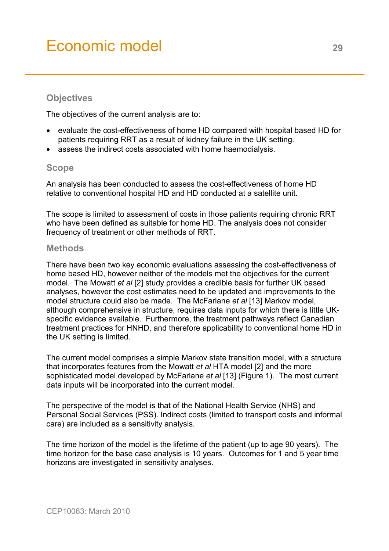# <span id="page-28-0"></span>Economic model **<sup>29</sup>**

# **Objectives**

The objectives of the current analysis are to:

- evaluate the cost-effectiveness of home HD compared with hospital based HD for patients requiring RRT as a result of kidney failure in the UK setting.
- assess the indirect costs associated with home haemodialysis.

## **Scope**

An analysis has been conducted to assess the cost-effectiveness of home HD relative to conventional hospital HD and HD conducted at a satellite unit.

The scope is limited to assessment of costs in those patients requiring chronic RRT who have been defined as suitable for home HD. The analysis does not consider frequency of treatment or other methods of RRT.

#### **Methods**

There have been two key economic evaluations assessing the cost-effectiveness of home based HD, however neither of the models met the objectives for the current model. The Mowatt *et al* [2] study provides a credible basis for further UK based analyses, however the cost estimates need to be updated and improvements to the model structure could also be made. The McFarlane *et al* [13] Markov model, although comprehensive in structure, requires data inputs for which there is little UKspecific evidence available. Furthermore, the treatment pathways reflect Canadian treatment practices for HNHD, and therefore applicability to conventional home HD in the UK setting is limited.

The current model comprises a simple Markov state transition model, with a structure that incorporates features from the Mowatt *et al* HTA model [2] and the more sophisticated model developed by McFarlane *et al* [13] (Figure 1). The most current data inputs will be incorporated into the current model.

The perspective of the model is that of the National Health Service (NHS) and Personal Social Services (PSS). Indirect costs (limited to transport costs and informal care) are included as a sensitivity analysis.

The time horizon of the model is the lifetime of the patient (up to age 90 years). The time horizon for the base case analysis is 10 years. Outcomes for 1 and 5 year time horizons are investigated in sensitivity analyses.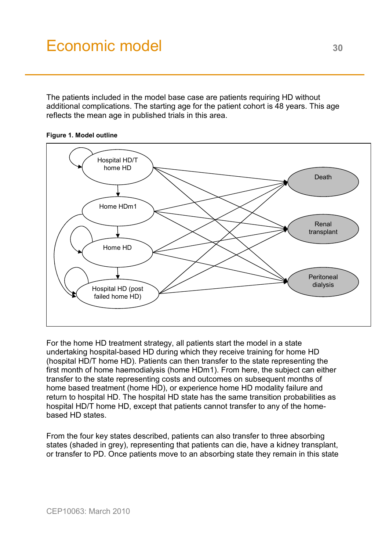# Economic model 30

The patients included in the model base case are patients requiring HD without additional complications. The starting age for the patient cohort is 48 years. This age reflects the mean age in published trials in this area.



**Figure 1. Model outline** 

For the home HD treatment strategy, all patients start the model in a state undertaking hospital-based HD during which they receive training for home HD (hospital HD/T home HD). Patients can then transfer to the state representing the first month of home haemodialysis (home HDm1). From here, the subject can either transfer to the state representing costs and outcomes on subsequent months of home based treatment (home HD), or experience home HD modality failure and return to hospital HD. The hospital HD state has the same transition probabilities as hospital HD/T home HD, except that patients cannot transfer to any of the homebased HD states.

From the four key states described, patients can also transfer to three absorbing states (shaded in grey), representing that patients can die, have a kidney transplant, or transfer to PD. Once patients move to an absorbing state they remain in this state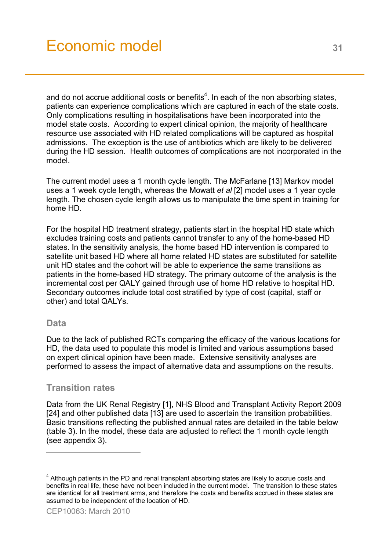and do not accrue additional costs or benefits<sup>4</sup>. In each of the non absorbing states, patients can experience complications which are captured in each of the state costs. Only complications resulting in hospitalisations have been incorporated into the model state costs. According to expert clinical opinion, the majority of healthcare resource use associated with HD related complications will be captured as hospital admissions. The exception is the use of antibiotics which are likely to be delivered during the HD session. Health outcomes of complications are not incorporated in the model.

The current model uses a 1 month cycle length. The McFarlane [13] Markov model uses a 1 week cycle length, whereas the Mowatt *et al* [2] model uses a 1 year cycle length. The chosen cycle length allows us to manipulate the time spent in training for home HD.

For the hospital HD treatment strategy, patients start in the hospital HD state which excludes training costs and patients cannot transfer to any of the home-based HD states. In the sensitivity analysis, the home based HD intervention is compared to satellite unit based HD where all home related HD states are substituted for satellite unit HD states and the cohort will be able to experience the same transitions as patients in the home-based HD strategy. The primary outcome of the analysis is the incremental cost per QALY gained through use of home HD relative to hospital HD. Secondary outcomes include total cost stratified by type of cost (capital, staff or other) and total QALYs.

### **Data**

l

Due to the lack of published RCTs comparing the efficacy of the various locations for HD, the data used to populate this model is limited and various assumptions based on expert clinical opinion have been made. Extensive sensitivity analyses are performed to assess the impact of alternative data and assumptions on the results.

# **Transition rates**

Data from the UK Renal Registry [1], NHS Blood and Transplant Activity Report 2009 [24] and other published data [13] are used to ascertain the transition probabilities. Basic transitions reflecting the published annual rates are detailed in the table below (table 3). In the model, these data are adjusted to reflect the 1 month cycle length (see appendix 3).

 $4$  Although patients in the PD and renal transplant absorbing states are likely to accrue costs and benefits in real life, these have not been included in the current model. The transition to these states are identical for all treatment arms, and therefore the costs and benefits accrued in these states are assumed to be independent of the location of HD.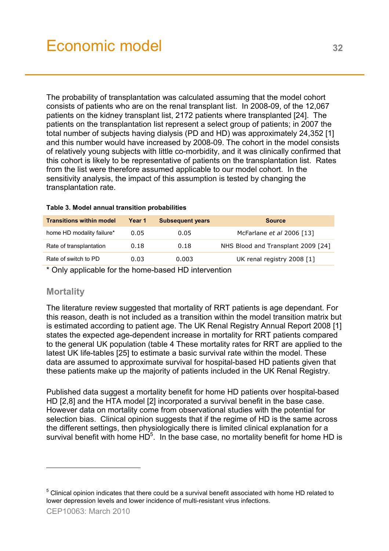The probability of transplantation was calculated assuming that the model cohort consists of patients who are on the renal transplant list. In 2008-09, of the 12,067 patients on the kidney transplant list, 2172 patients where transplanted [24]. The patients on the transplantation list represent a select group of patients; in 2007 the total number of subjects having dialysis (PD and HD) was approximately 24,352 [1] and this number would have increased by 2008-09. The cohort in the model consists of relatively young subjects with little co-morbidity, and it was clinically confirmed that this cohort is likely to be representative of patients on the transplantation list. Rates from the list were therefore assumed applicable to our model cohort. In the sensitivity analysis, the impact of this assumption is tested by changing the transplantation rate.

#### **Table 3. Model annual transition probabilities**

| <b>Transitions within model</b> | Year 1 | <b>Subsequent years</b> | <b>Source</b>                      |
|---------------------------------|--------|-------------------------|------------------------------------|
| home HD modality failure*       | 0.05   | 0.05                    | McFarlane et al 2006 [13]          |
| Rate of transplantation         | 0.18   | 0.18                    | NHS Blood and Transplant 2009 [24] |
| Rate of switch to PD            | 0.03   | 0.003                   | UK renal registry 2008 [1]         |

\* Only applicable for the home-based HD intervention

# **Mortality**

The literature review suggested that mortality of RRT patients is age dependant. For this reason, death is not included as a transition within the model transition matrix but is estimated according to patient age. The UK Renal Registry Annual Report 2008 [1] states the expected age-dependent increase in mortality for RRT patients compared to the general UK population (table 4 These mortality rates for RRT are applied to the latest UK life-tables [25] to estimate a basic survival rate within the model. These data are assumed to approximate survival for hospital-based HD patients given that these patients make up the majority of patients included in the UK Renal Registry.

Published data suggest a mortality benefit for home HD patients over hospital-based HD [2,8] and the HTA model [2] incorporated a survival benefit in the base case. However data on mortality come from observational studies with the potential for selection bias. Clinical opinion suggests that if the regime of HD is the same across the different settings, then physiologically there is limited clinical explanation for a survival benefit with home  $HD<sup>5</sup>$ . In the base case, no mortality benefit for home HD is

l

 $5$  Clinical opinion indicates that there could be a survival benefit associated with home HD related to lower depression levels and lower incidence of multi-resistant virus infections.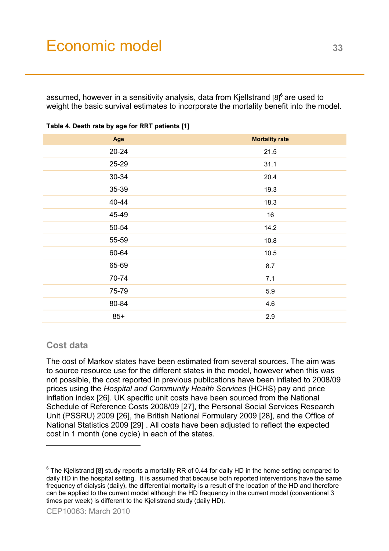# Economic model 33

assumed, however in a sensitivity analysis, data from Kjellstrand  $[8]^\circ$  are used to weight the basic survival estimates to incorporate the mortality benefit into the model.

| Age       | <b>Mortality rate</b> |
|-----------|-----------------------|
| $20 - 24$ | 21.5                  |
| 25-29     | 31.1                  |
| 30-34     | 20.4                  |
| 35-39     | 19.3                  |
| 40-44     | 18.3                  |
| 45-49     | 16                    |
| 50-54     | 14.2                  |
| 55-59     | 10.8                  |
| 60-64     | 10.5                  |
| 65-69     | 8.7                   |
| 70-74     | 7.1                   |
| 75-79     | 5.9                   |
| 80-84     | 4.6                   |
| $85+$     | 2.9                   |

#### **Table 4. Death rate by age for RRT patients [1]**

### **Cost data**

l

The cost of Markov states have been estimated from several sources. The aim was to source resource use for the different states in the model, however when this was not possible, the cost reported in previous publications have been inflated to 2008/09 prices using the *Hospital and Community Health Services* (HCHS) pay and price inflation index [26]. UK specific unit costs have been sourced from the National Schedule of Reference Costs 2008/09 [27], the Personal Social Services Research Unit (PSSRU) 2009 [26], the British National Formulary 2009 [28], and the Office of National Statistics 2009 [29] . All costs have been adjusted to reflect the expected cost in 1 month (one cycle) in each of the states.

 $^6$  The Kjellstrand [8] study reports a mortality RR of 0.44 for daily HD in the home setting compared to daily HD in the hospital setting. It is assumed that because both reported interventions have the same frequency of dialysis (daily), the differential mortality is a result of the location of the HD and therefore can be applied to the current model although the HD frequency in the current model (conventional 3 times per week) is different to the Kjellstrand study (daily HD).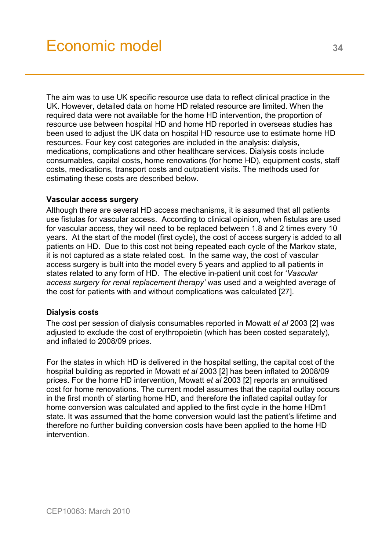The aim was to use UK specific resource use data to reflect clinical practice in the UK. However, detailed data on home HD related resource are limited. When the required data were not available for the home HD intervention, the proportion of resource use between hospital HD and home HD reported in overseas studies has been used to adjust the UK data on hospital HD resource use to estimate home HD resources. Four key cost categories are included in the analysis: dialysis, medications, complications and other healthcare services. Dialysis costs include consumables, capital costs, home renovations (for home HD), equipment costs, staff costs, medications, transport costs and outpatient visits. The methods used for estimating these costs are described below.

#### **Vascular access surgery**

Although there are several HD access mechanisms, it is assumed that all patients use fistulas for vascular access. According to clinical opinion, when fistulas are used for vascular access, they will need to be replaced between 1.8 and 2 times every 10 years. At the start of the model (first cycle), the cost of access surgery is added to all patients on HD. Due to this cost not being repeated each cycle of the Markov state, it is not captured as a state related cost. In the same way, the cost of vascular access surgery is built into the model every 5 years and applied to all patients in states related to any form of HD. The elective in-patient unit cost for '*Vascular access surgery for renal replacement therapy'* was used and a weighted average of the cost for patients with and without complications was calculated [27].

#### **Dialysis costs**

The cost per session of dialysis consumables reported in Mowatt *et al* 2003 [2] was adjusted to exclude the cost of erythropoietin (which has been costed separately), and inflated to 2008/09 prices.

For the states in which HD is delivered in the hospital setting, the capital cost of the hospital building as reported in Mowatt *et al* 2003 [2] has been inflated to 2008/09 prices. For the home HD intervention, Mowatt *et al* 2003 [2] reports an annuitised cost for home renovations. The current model assumes that the capital outlay occurs in the first month of starting home HD, and therefore the inflated capital outlay for home conversion was calculated and applied to the first cycle in the home HDm1 state. It was assumed that the home conversion would last the patient's lifetime and therefore no further building conversion costs have been applied to the home HD intervention.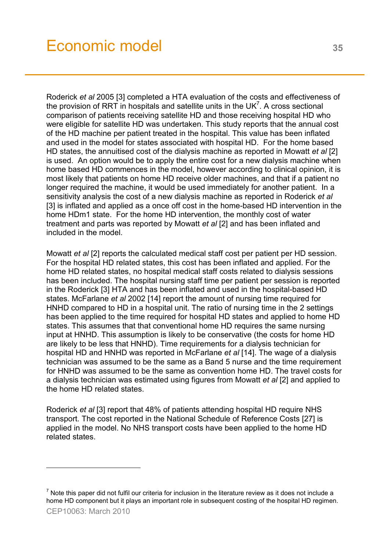Roderick *et al* 2005 [3] completed a HTA evaluation of the costs and effectiveness of the provision of RRT in hospitals and satellite units in the UK<sup>7</sup>. A cross sectional comparison of patients receiving satellite HD and those receiving hospital HD who were eligible for satellite HD was undertaken. This study reports that the annual cost of the HD machine per patient treated in the hospital. This value has been inflated and used in the model for states associated with hospital HD. For the home based HD states, the annuitised cost of the dialysis machine as reported in Mowatt *et al* [2] is used. An option would be to apply the entire cost for a new dialysis machine when home based HD commences in the model, however according to clinical opinion, it is most likely that patients on home HD receive older machines, and that if a patient no longer required the machine, it would be used immediately for another patient. In a sensitivity analysis the cost of a new dialysis machine as reported in Roderick *et al* [3] is inflated and applied as a once off cost in the home-based HD intervention in the home HDm1 state. For the home HD intervention, the monthly cost of water treatment and parts was reported by Mowatt *et al* [2] and has been inflated and included in the model.

Mowatt *et al* [2] reports the calculated medical staff cost per patient per HD session. For the hospital HD related states, this cost has been inflated and applied. For the home HD related states, no hospital medical staff costs related to dialysis sessions has been included. The hospital nursing staff time per patient per session is reported in the Roderick [3] HTA and has been inflated and used in the hospital-based HD states. McFarlane *et al* 2002 [14] report the amount of nursing time required for HNHD compared to HD in a hospital unit. The ratio of nursing time in the 2 settings has been applied to the time required for hospital HD states and applied to home HD states. This assumes that that conventional home HD requires the same nursing input at HNHD. This assumption is likely to be conservative (the costs for home HD are likely to be less that HNHD). Time requirements for a dialysis technician for hospital HD and HNHD was reported in McFarlane *et al* [14]. The wage of a dialysis technician was assumed to be the same as a Band 5 nurse and the time requirement for HNHD was assumed to be the same as convention home HD. The travel costs for a dialysis technician was estimated using figures from Mowatt *et al* [2] and applied to the home HD related states.

Roderick *et al* [3] report that 48% of patients attending hospital HD require NHS transport. The cost reported in the National Schedule of Reference Costs [27] is applied in the model. No NHS transport costs have been applied to the home HD related states.

l

 $^7$  Note this paper did not fulfil our criteria for inclusion in the literature review as it does not include a home HD component but it plays an important role in subsequent costing of the hospital HD regimen.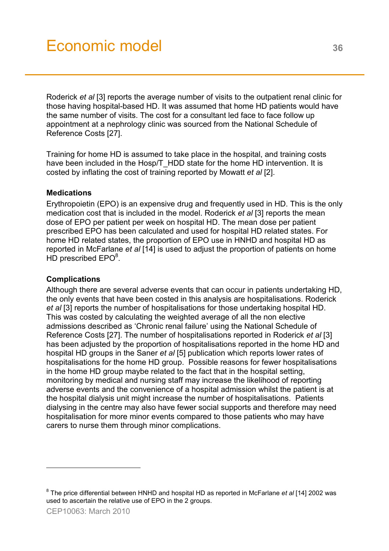Roderick *et al* [3] reports the average number of visits to the outpatient renal clinic for those having hospital-based HD. It was assumed that home HD patients would have the same number of visits. The cost for a consultant led face to face follow up appointment at a nephrology clinic was sourced from the National Schedule of Reference Costs [27].

Training for home HD is assumed to take place in the hospital, and training costs have been included in the Hosp/T\_HDD state for the home HD intervention. It is costed by inflating the cost of training reported by Mowatt *et al* [2].

## **Medications**

Erythropoietin (EPO) is an expensive drug and frequently used in HD. This is the only medication cost that is included in the model. Roderick *et al* [3] reports the mean dose of EPO per patient per week on hospital HD. The mean dose per patient prescribed EPO has been calculated and used for hospital HD related states. For home HD related states, the proportion of EPO use in HNHD and hospital HD as reported in McFarlane *et al* [14] is used to adjust the proportion of patients on home  $HD$  prescribed  $EPO<sup>8</sup>$ .

### **Complications**

Although there are several adverse events that can occur in patients undertaking HD, the only events that have been costed in this analysis are hospitalisations. Roderick *et al* [3] reports the number of hospitalisations for those undertaking hospital HD. This was costed by calculating the weighted average of all the non elective admissions described as 'Chronic renal failure' using the National Schedule of Reference Costs [27]. The number of hospitalisations reported in Roderick *et al* [3] has been adjusted by the proportion of hospitalisations reported in the home HD and hospital HD groups in the Saner *et al* [5] publication which reports lower rates of hospitalisations for the home HD group. Possible reasons for fewer hospitalisations in the home HD group maybe related to the fact that in the hospital setting, monitoring by medical and nursing staff may increase the likelihood of reporting adverse events and the convenience of a hospital admission whilst the patient is at the hospital dialysis unit might increase the number of hospitalisations. Patients dialysing in the centre may also have fewer social supports and therefore may need hospitalisation for more minor events compared to those patients who may have carers to nurse them through minor complications.

l

<sup>8</sup> The price differential between HNHD and hospital HD as reported in McFarlane *et al* [14] 2002 was used to ascertain the relative use of EPO in the 2 groups.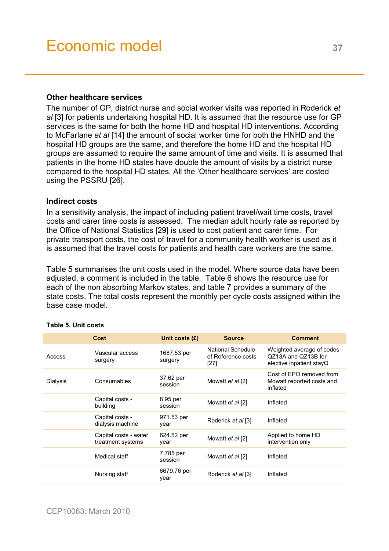#### **Other healthcare services**

The number of GP, district nurse and social worker visits was reported in Roderick *et al* [3] for patients undertaking hospital HD. It is assumed that the resource use for GP services is the same for both the home HD and hospital HD interventions. According to McFarlane *et al* [14] the amount of social worker time for both the HNHD and the hospital HD groups are the same, and therefore the home HD and the hospital HD groups are assumed to require the same amount of time and visits. It is assumed that patients in the home HD states have double the amount of visits by a district nurse compared to the hospital HD states. All the 'Other healthcare services' are costed using the PSSRU [26].

#### **Indirect costs**

In a sensitivity analysis, the impact of including patient travel/wait time costs, travel costs and carer time costs is assessed. The median adult hourly rate as reported by the Office of National Statistics [29] is used to cost patient and carer time. For private transport costs, the cost of travel for a community health worker is used as it is assumed that the travel costs for patients and health care workers are the same.

Table 5 summarises the unit costs used in the model. Where source data have been adjusted, a comment is included in the table. Table 6 shows the resource use for each of the non absorbing Markov states, and table 7 provides a summary of the state costs. The total costs represent the monthly per cycle costs assigned within the base case model.

|          | Cost                                       | Unit costs $(E)$       | <b>Source</b>                                     | <b>Comment</b>                                                               |
|----------|--------------------------------------------|------------------------|---------------------------------------------------|------------------------------------------------------------------------------|
| Access   | Vascular access<br>surgery                 | 1687.53 per<br>surgery | National Schedule<br>of Reference costs<br>$[27]$ | Weighted average of codes<br>QZ13A and QZ13B for<br>elective inpatient stayQ |
| Dialysis | Consumables                                | 37.62 per<br>session   | Mowatt et al [2]                                  | Cost of EPO removed from<br>Mowatt reported costs and<br>inflated            |
|          | Capital costs -<br>building                | 8.95 per<br>session    | Mowatt et al [2]                                  | Inflated                                                                     |
|          | Capital costs -<br>dialysis machine        | 971.53 per<br>year     | Roderick <i>et al</i> [3]                         | Inflated                                                                     |
|          | Capital costs - water<br>treatment systems | 624.52 per<br>year     | Mowatt et al [2]                                  | Applied to home HD<br>intervention only                                      |
|          | Medical staff                              | 7.785 per<br>session   | Mowatt et al [2]                                  | Inflated                                                                     |
|          | Nursing staff                              | 6679.76 per<br>year    | Roderick <i>et al</i> [3]                         | Inflated                                                                     |

#### **Table 5. Unit costs**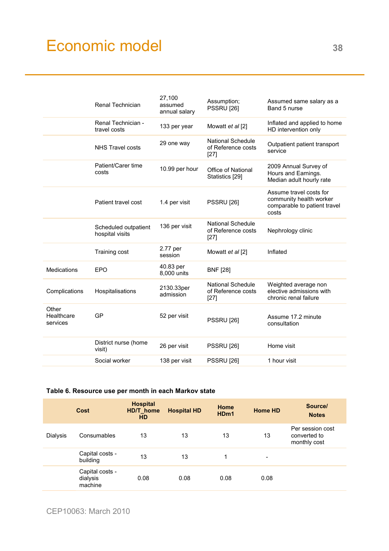# Economic model 38

|                                 | <b>Renal Technician</b>                 | 27,100<br>assumed<br>annual salary | Assumption;<br><b>PSSRU [26]</b>                         | Assumed same salary as a<br>Band 5 nurse                                                    |
|---------------------------------|-----------------------------------------|------------------------------------|----------------------------------------------------------|---------------------------------------------------------------------------------------------|
|                                 | Renal Technician -<br>travel costs      | 133 per year                       | Mowatt et al [2]                                         | Inflated and applied to home<br>HD intervention only                                        |
|                                 | NHS Travel costs                        | 29 one way                         | <b>National Schedule</b><br>of Reference costs<br>$[27]$ | Outpatient patient transport<br>service                                                     |
|                                 | Patient/Carer time<br>costs             | 10.99 per hour                     | <b>Office of National</b><br>Statistics [29]             | 2009 Annual Survey of<br>Hours and Earnings.<br>Median adult hourly rate                    |
|                                 | Patient travel cost                     | 1.4 per visit                      | <b>PSSRU [26]</b>                                        | Assume travel costs for<br>community health worker<br>comparable to patient travel<br>costs |
|                                 | Scheduled outpatient<br>hospital visits | 136 per visit                      | <b>National Schedule</b><br>of Reference costs<br>$[27]$ | Nephrology clinic                                                                           |
|                                 | Training cost                           | 2.77 per<br>session                | Mowatt et al [2]                                         | Inflated                                                                                    |
| <b>Medications</b>              | EPO                                     | 40.83 per<br>8,000 units           | <b>BNF [28]</b>                                          |                                                                                             |
| Complications                   | Hospitalisations                        | 2130.33per<br>admission            | <b>National Schedule</b><br>of Reference costs<br>$[27]$ | Weighted average non<br>elective admissions with<br>chronic renal failure                   |
| Other<br>Healthcare<br>services | GP                                      | 52 per visit                       | <b>PSSRU</b> [26]                                        | Assume 17.2 minute<br>consultation                                                          |
|                                 | District nurse (home<br>visit)          | 26 per visit                       | <b>PSSRU</b> [26]                                        | Home visit                                                                                  |
|                                 | Social worker                           | 138 per visit                      | <b>PSSRU</b> [26]                                        | 1 hour visit                                                                                |

#### **Table 6. Resource use per month in each Markov state**

|          | Cost                                   | <b>Hospital</b><br>HD/T_home<br><b>HD</b> | <b>Hospital HD</b> | Home<br>HD <sub>m1</sub> | <b>Home HD</b> | Source/<br><b>Notes</b>                          |
|----------|----------------------------------------|-------------------------------------------|--------------------|--------------------------|----------------|--------------------------------------------------|
| Dialysis | Consumables                            | 13                                        | 13                 | 13                       | 13             | Per session cost<br>converted to<br>monthly cost |
|          | Capital costs -<br>building            | 13                                        | 13                 |                          | -              |                                                  |
|          | Capital costs -<br>dialysis<br>machine | 0.08                                      | 0.08               | 0.08                     | 0.08           |                                                  |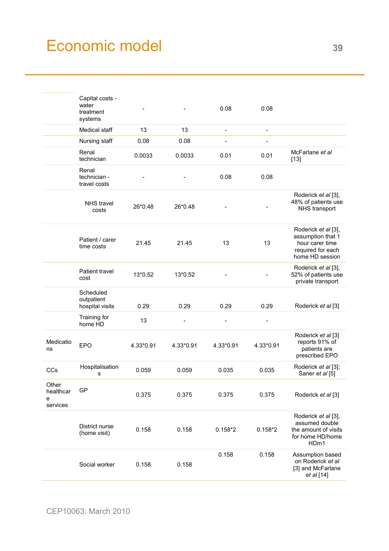# Economic model 39

|                                     | Capital costs -<br>water<br>treatment<br>systems |           |           | 0.08                     | 0.08                     |                                                                                                     |
|-------------------------------------|--------------------------------------------------|-----------|-----------|--------------------------|--------------------------|-----------------------------------------------------------------------------------------------------|
|                                     | Medical staff                                    | 13        | 13        | $\overline{\phantom{a}}$ | $\overline{\phantom{a}}$ |                                                                                                     |
|                                     | Nursing staff                                    | 0.08      | 0.08      | -                        | $\overline{a}$           |                                                                                                     |
|                                     | Renal<br>technician                              | 0.0033    | 0.0033    | 0.01                     | 0.01                     | McFarlane et al<br>$[13]$                                                                           |
|                                     | Renal<br>technician -<br>travel costs            |           |           | 0.08                     | 0.08                     |                                                                                                     |
|                                     | <b>NHS</b> travel<br>costs                       | 26*0.48   | 26*0.48   |                          |                          | Roderick et al [3],<br>48% of patients use<br>NHS transport                                         |
|                                     | Patient / carer<br>time costs                    | 21.45     | 21.45     | 13                       | 13                       | Roderick et al [3],<br>assumption that 1<br>hour carer time<br>required for each<br>home HD session |
|                                     | Patient travel<br>cost                           | 13*0.52   | 13*0.52   |                          |                          | Roderick et al [3],<br>52% of patients use<br>private transport                                     |
|                                     | Scheduled<br>outpatient<br>hospital visits       | 0.29      | 0.29      | 0.29                     | 0.29                     | Roderick et al [3]                                                                                  |
|                                     | Training for<br>home HD                          | 13        |           |                          |                          |                                                                                                     |
| Medicatio<br>ns                     | <b>EPO</b>                                       | 4.33*0.91 | 4.33*0.91 | 4.33*0.91                | 4.33*0.91                | Roderick et al [3]<br>reports 91% of<br>patients are<br>prescribed EPO                              |
| CCs                                 | Hospitalisation<br>s                             | 0.059     | 0.059     | 0.035                    | 0.035                    | Roderick et al [3];<br>Saner et al [5]                                                              |
| Other<br>healthcar<br>е<br>services | GP                                               | 0.375     | 0.375     | 0.375                    | 0.375                    | Roderick et al [3]                                                                                  |
|                                     | District nurse<br>(home visit)                   | 0.158     | 0.158     | $0.158*2$                | $0.158*2$                | Roderick et al [3],<br>assumed double<br>the amount of visits<br>for home HD/home<br>HDm1           |
|                                     | Social worker                                    | 0.158     | 0.158     | 0.158                    | 0.158                    | Assumption based<br>on Roderick et al<br>[3] and McFarlane<br>et al [14]                            |
|                                     |                                                  |           |           |                          |                          |                                                                                                     |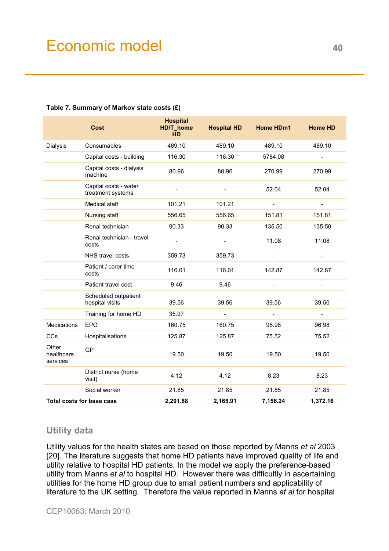|                                 | <b>Cost</b>                                | <b>Hospital</b><br>HD/T_home<br><b>HD</b> | <b>Hospital HD</b>       | <b>Home HDm1</b>         | <b>Home HD</b>           |
|---------------------------------|--------------------------------------------|-------------------------------------------|--------------------------|--------------------------|--------------------------|
| Dialysis                        | Consumables                                | 489.10                                    | 489.10                   | 489.10                   | 489.10                   |
|                                 | Capital costs - building                   | 116.30                                    | 116.30                   | 5784.08                  | $\overline{a}$           |
|                                 | Capital costs - dialysis<br>machine        | 80.96                                     | 80.96                    | 270.99                   | 270.99                   |
|                                 | Capital costs - water<br>treatment systems | $\frac{1}{2}$                             | $\overline{\phantom{a}}$ | 52.04                    | 52.04                    |
|                                 | Medical staff                              | 101.21                                    | 101.21                   | $\overline{\phantom{a}}$ | $\blacksquare$           |
|                                 | Nursing staff                              | 556.65                                    | 556.65                   | 151.81                   | 151.81                   |
|                                 | Renal technician                           | 90.33                                     | 90.33                    | 135.50                   | 135.50                   |
|                                 | Renal technician - travel<br>costs         |                                           | $\overline{\phantom{a}}$ | 11.08                    | 11.08                    |
|                                 | NHS travel costs                           | 359.73                                    | 359.73                   |                          | $\overline{a}$           |
|                                 | Patient / carer time<br>costs              | 116.01                                    | 116.01                   | 142.87                   | 142.87                   |
|                                 | Patient travel cost                        | 9.46                                      | 9.46                     | $\overline{\phantom{a}}$ | $\frac{1}{2}$            |
|                                 | Scheduled outpatient<br>hospital visits    | 39.56                                     | 39.56                    | 39.56                    | 39.56                    |
|                                 | Training for home HD                       | 35.97                                     | $\blacksquare$           | $\blacksquare$           | $\overline{\phantom{a}}$ |
| <b>Medications</b>              | <b>EPO</b>                                 | 160.75                                    | 160.75                   | 96.98                    | 96.98                    |
| CCs                             | Hospitalisations                           | 125.87                                    | 125.87                   | 75.52                    | 75.52                    |
| Other<br>healthcare<br>services | <b>GP</b>                                  | 19.50                                     | 19.50                    | 19.50                    | 19.50                    |
|                                 | District nurse (home<br>visit)             | 4.12                                      | 4.12                     | 8.23                     | 8.23                     |
|                                 | Social worker                              | 21.85                                     | 21.85                    | 21.85                    | 21.85                    |
|                                 | <b>Total costs for base case</b>           | 2,201.88                                  | 2,165.91                 | 7,156.24                 | 1,372.16                 |

#### **Table 7. Summary of Markov state costs (£)**

# **Utility data**

Utility values for the health states are based on those reported by Manns *et al* 2003 [20]. The literature suggests that home HD patients have improved quality of life and utility relative to hospital HD patients. In the model we apply the preference-based utility from Manns *et al* to hospital HD. However there was difficultly in ascertaining utilities for the home HD group due to small patient numbers and applicability of literature to the UK setting. Therefore the value reported in Manns *et al* for hospital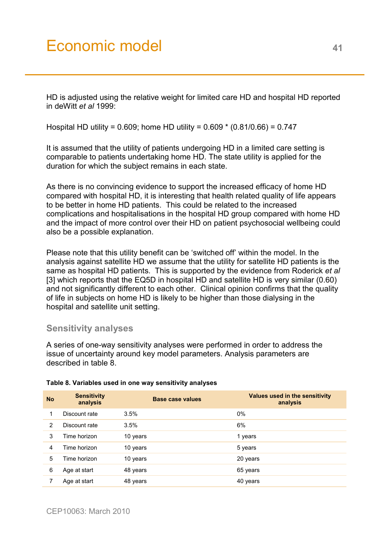# Economic model 41

HD is adjusted using the relative weight for limited care HD and hospital HD reported in deWitt *et al* 1999:

Hospital HD utility = 0.609; home HD utility = 0.609 \* (0.81/0.66) = 0.747

It is assumed that the utility of patients undergoing HD in a limited care setting is comparable to patients undertaking home HD. The state utility is applied for the duration for which the subject remains in each state.

As there is no convincing evidence to support the increased efficacy of home HD compared with hospital HD, it is interesting that health related quality of life appears to be better in home HD patients. This could be related to the increased complications and hospitalisations in the hospital HD group compared with home HD and the impact of more control over their HD on patient psychosocial wellbeing could also be a possible explanation.

Please note that this utility benefit can be 'switched off' within the model. In the analysis against satellite HD we assume that the utility for satellite HD patients is the same as hospital HD patients. This is supported by the evidence from Roderick *et al* [3] which reports that the EQ5D in hospital HD and satellite HD is very similar (0.60) and not significantly different to each other. Clinical opinion confirms that the quality of life in subjects on home HD is likely to be higher than those dialysing in the hospital and satellite unit setting.

# **Sensitivity analyses**

A series of one-way sensitivity analyses were performed in order to address the issue of uncertainty around key model parameters. Analysis parameters are described in table 8.

| <b>No</b> | <b>Sensitivity</b><br>analysis | <b>Base case values</b> | Values used in the sensitivity<br>analysis |
|-----------|--------------------------------|-------------------------|--------------------------------------------|
|           | Discount rate                  | 3.5%                    | 0%                                         |
| 2         | Discount rate                  | 3.5%                    | 6%                                         |
| 3         | Time horizon                   | 10 years                | 1 years                                    |
| 4         | Time horizon                   | 10 years                | 5 years                                    |
| 5         | Time horizon                   | 10 years                | 20 years                                   |
| 6         | Age at start                   | 48 years                | 65 years                                   |
|           | Age at start                   | 48 years                | 40 years                                   |

#### **Table 8. Variables used in one way sensitivity analyses**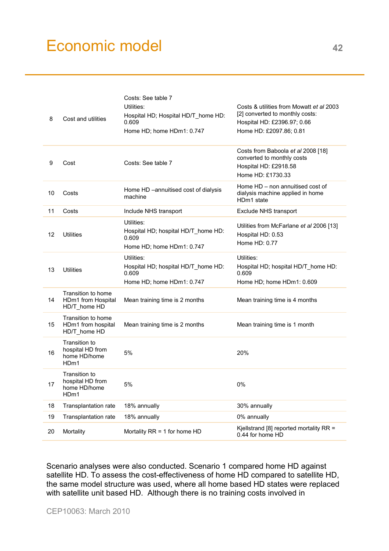# Economic model **<sup>42</sup>**

| 8  | Cost and utilities                                                    | Costs: See table 7<br>Utilities:<br>Hospital HD; Hospital HD/T home HD:<br>0.609<br>Home HD; home HDm1: 0.747 | Costs & utilities from Mowatt et al 2003<br>[2] converted to monthly costs:<br>Hospital HD: £2396.97; 0.66<br>Home HD: £2097.86; 0.81 |
|----|-----------------------------------------------------------------------|---------------------------------------------------------------------------------------------------------------|---------------------------------------------------------------------------------------------------------------------------------------|
| 9  | Cost                                                                  | Costs: See table 7                                                                                            | Costs from Baboola et al 2008 [18]<br>converted to monthly costs<br>Hospital HD: £2918.58<br>Home HD: £1730.33                        |
| 10 | Costs                                                                 | Home HD -annuitised cost of dialysis<br>machine                                                               | Home HD – non annuitised cost of<br>dialysis machine applied in home<br>HDm1 state                                                    |
| 11 | Costs                                                                 | Include NHS transport                                                                                         | Exclude NHS transport                                                                                                                 |
| 12 | <b>Utilities</b>                                                      | Utilities:<br>Hospital HD; hospital HD/T_home HD:<br>0.609<br>Home HD; home HDm1: 0.747                       | Utilities from McFarlane et al 2006 [13]<br>Hospital HD: 0.53<br>Home HD: 0.77                                                        |
| 13 | <b>Utilities</b>                                                      | Utilities:<br>Hospital HD; hospital HD/T_home HD:<br>0.609<br>Home HD; home HDm1: 0.747                       | Utilities:<br>Hospital HD; hospital HD/T home HD:<br>0.609<br>Home HD; home HDm1: 0.609                                               |
| 14 | Transition to home<br>HDm1 from Hospital<br>HD/T_home HD              | Mean training time is 2 months                                                                                | Mean training time is 4 months                                                                                                        |
| 15 | Transition to home<br>HDm1 from hospital<br>HD/T_home HD              | Mean training time is 2 months                                                                                | Mean training time is 1 month                                                                                                         |
| 16 | Transition to<br>hospital HD from<br>home HD/home<br>HD <sub>m1</sub> | 5%                                                                                                            | 20%                                                                                                                                   |
| 17 | Transition to<br>hospital HD from<br>home HD/home<br>HDm1             | 5%                                                                                                            | 0%                                                                                                                                    |
| 18 | <b>Transplantation rate</b>                                           | 18% annually                                                                                                  | 30% annually                                                                                                                          |
| 19 | Transplantation rate                                                  | 18% annually                                                                                                  | 0% annually                                                                                                                           |
| 20 | Mortality                                                             | Mortality RR = 1 for home HD                                                                                  | Kjellstrand [8] reported mortality RR =<br>0.44 for home HD                                                                           |

Scenario analyses were also conducted. Scenario 1 compared home HD against satellite HD. To assess the cost-effectiveness of home HD compared to satellite HD, the same model structure was used, where all home based HD states were replaced with satellite unit based HD. Although there is no training costs involved in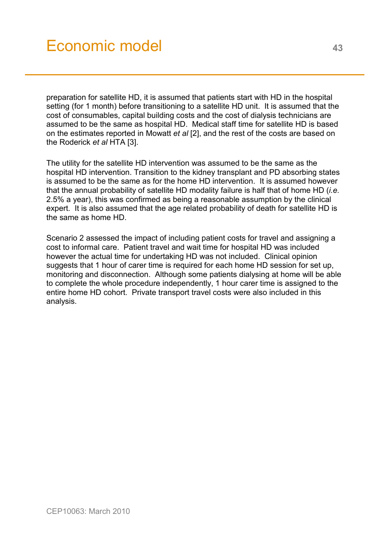preparation for satellite HD, it is assumed that patients start with HD in the hospital setting (for 1 month) before transitioning to a satellite HD unit. It is assumed that the cost of consumables, capital building costs and the cost of dialysis technicians are assumed to be the same as hospital HD. Medical staff time for satellite HD is based on the estimates reported in Mowatt *et al* [2], and the rest of the costs are based on the Roderick *et al* HTA [3].

The utility for the satellite HD intervention was assumed to be the same as the hospital HD intervention. Transition to the kidney transplant and PD absorbing states is assumed to be the same as for the home HD intervention. It is assumed however that the annual probability of satellite HD modality failure is half that of home HD (*i.e.* 2.5% a year), this was confirmed as being a reasonable assumption by the clinical expert. It is also assumed that the age related probability of death for satellite HD is the same as home HD.

Scenario 2 assessed the impact of including patient costs for travel and assigning a cost to informal care. Patient travel and wait time for hospital HD was included however the actual time for undertaking HD was not included. Clinical opinion suggests that 1 hour of carer time is required for each home HD session for set up, monitoring and disconnection. Although some patients dialysing at home will be able to complete the whole procedure independently, 1 hour carer time is assigned to the entire home HD cohort. Private transport travel costs were also included in this analysis.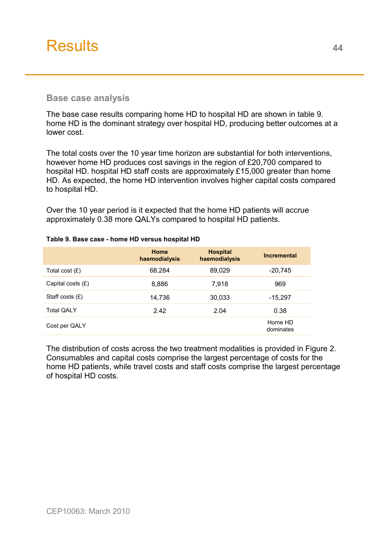<span id="page-43-0"></span>

### **Base case analysis**

The base case results comparing home HD to hospital HD are shown in table 9. home HD is the dominant strategy over hospital HD, producing better outcomes at a lower cost.

The total costs over the 10 year time horizon are substantial for both interventions, however home HD produces cost savings in the region of £20,700 compared to hospital HD. hospital HD staff costs are approximately £15,000 greater than home HD. As expected, the home HD intervention involves higher capital costs compared to hospital HD.

Over the 10 year period is it expected that the home HD patients will accrue approximately 0.38 more QALYs compared to hospital HD patients.

|                     | <b>Home</b><br>haemodialysis | <b>Hospital</b><br>haemodialysis | <b>Incremental</b>   |
|---------------------|------------------------------|----------------------------------|----------------------|
| Total cost $(E)$    | 68,284                       | 89,029                           | $-20,745$            |
| Capital costs $(E)$ | 8,886                        | 7,918                            | 969                  |
| Staff costs $(E)$   | 14,736                       | 30,033                           | $-15,297$            |
| <b>Total QALY</b>   | 2.42                         | 2.04                             | 0.38                 |
| Cost per QALY       |                              |                                  | Home HD<br>dominates |

#### **Table 9. Base case - home HD versus hospital HD**

The distribution of costs across the two treatment modalities is provided in Figure 2. Consumables and capital costs comprise the largest percentage of costs for the home HD patients, while travel costs and staff costs comprise the largest percentage of hospital HD costs.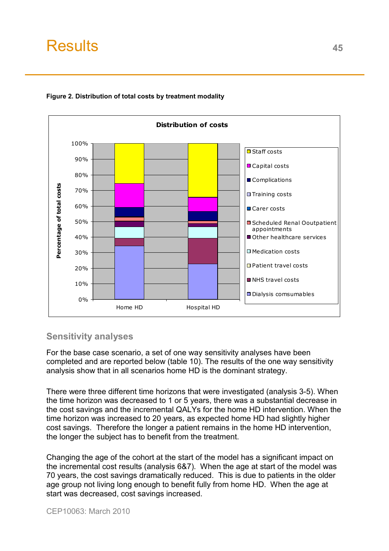

#### **Figure 2. Distribution of total costs by treatment modality**

# **Sensitivity analyses**

For the base case scenario, a set of one way sensitivity analyses have been completed and are reported below (table 10). The results of the one way sensitivity analysis show that in all scenarios home HD is the dominant strategy.

There were three different time horizons that were investigated (analysis 3-5). When the time horizon was decreased to 1 or 5 years, there was a substantial decrease in the cost savings and the incremental QALYs for the home HD intervention. When the time horizon was increased to 20 years, as expected home HD had slightly higher cost savings. Therefore the longer a patient remains in the home HD intervention, the longer the subject has to benefit from the treatment.

Changing the age of the cohort at the start of the model has a significant impact on the incremental cost results (analysis 6&7). When the age at start of the model was 70 years, the cost savings dramatically reduced. This is due to patients in the older age group not living long enough to benefit fully from home HD. When the age at start was decreased, cost savings increased.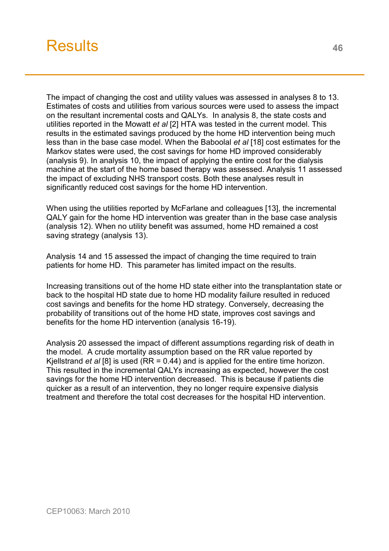

The impact of changing the cost and utility values was assessed in analyses 8 to 13. Estimates of costs and utilities from various sources were used to assess the impact on the resultant incremental costs and QALYs. In analysis 8, the state costs and utilities reported in the Mowatt *et al* [2] HTA was tested in the current model. This results in the estimated savings produced by the home HD intervention being much less than in the base case model. When the Baboolal *et al* [18] cost estimates for the Markov states were used, the cost savings for home HD improved considerably (analysis 9). In analysis 10, the impact of applying the entire cost for the dialysis machine at the start of the home based therapy was assessed. Analysis 11 assessed the impact of excluding NHS transport costs. Both these analyses result in significantly reduced cost savings for the home HD intervention.

When using the utilities reported by McFarlane and colleagues [13], the incremental QALY gain for the home HD intervention was greater than in the base case analysis (analysis 12). When no utility benefit was assumed, home HD remained a cost saving strategy (analysis 13).

Analysis 14 and 15 assessed the impact of changing the time required to train patients for home HD. This parameter has limited impact on the results.

Increasing transitions out of the home HD state either into the transplantation state or back to the hospital HD state due to home HD modality failure resulted in reduced cost savings and benefits for the home HD strategy. Conversely, decreasing the probability of transitions out of the home HD state, improves cost savings and benefits for the home HD intervention (analysis 16-19).

Analysis 20 assessed the impact of different assumptions regarding risk of death in the model. A crude mortality assumption based on the RR value reported by Kjellstrand *et al* [8] is used (RR = 0.44) and is applied for the entire time horizon. This resulted in the incremental QALYs increasing as expected, however the cost savings for the home HD intervention decreased. This is because if patients die quicker as a result of an intervention, they no longer require expensive dialysis treatment and therefore the total cost decreases for the hospital HD intervention.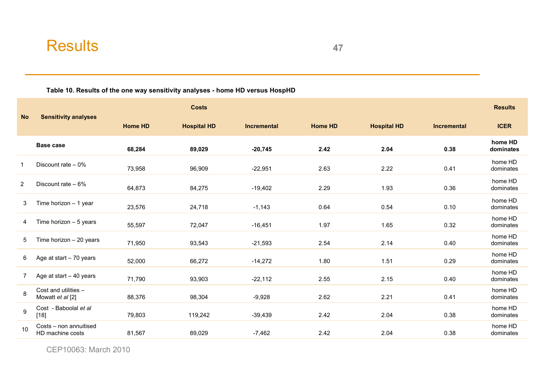**Table 10. Results of the one way sensitivity analyses - home HD versus HospHD** 

|                |                                            |                | <b>Costs</b>       |             |                |                    |                    | <b>Results</b>       |
|----------------|--------------------------------------------|----------------|--------------------|-------------|----------------|--------------------|--------------------|----------------------|
| <b>No</b>      | <b>Sensitivity analyses</b>                | <b>Home HD</b> | <b>Hospital HD</b> | Incremental | <b>Home HD</b> | <b>Hospital HD</b> | <b>Incremental</b> | <b>ICER</b>          |
|                | Base case                                  | 68,284         | 89,029             | $-20,745$   | 2.42           | 2.04               | 0.38               | home HD<br>dominates |
|                | Discount rate $-0\%$                       | 73,958         | 96,909             | $-22,951$   | 2.63           | 2.22               | 0.41               | home HD<br>dominates |
| $\overline{2}$ | Discount rate $-6%$                        | 64,873         | 84,275             | $-19,402$   | 2.29           | 1.93               | 0.36               | home HD<br>dominates |
| 3              | Time horizon $-1$ year                     | 23,576         | 24,718             | $-1,143$    | 0.64           | 0.54               | 0.10               | home HD<br>dominates |
| 4              | Time horizon $-5$ years                    | 55,597         | 72,047             | $-16,451$   | 1.97           | 1.65               | 0.32               | home HD<br>dominates |
| 5              | Time horizon $-20$ years                   | 71,950         | 93,543             | $-21,593$   | 2.54           | 2.14               | 0.40               | home HD<br>dominates |
| 6              | Age at start $-70$ years                   | 52,000         | 66,272             | $-14,272$   | 1.80           | 1.51               | 0.29               | home HD<br>dominates |
| 7              | Age at start - 40 years                    | 71,790         | 93,903             | $-22,112$   | 2.55           | 2.15               | 0.40               | home HD<br>dominates |
| 8              | Cost and utilities -<br>Mowatt et al [2]   | 88,376         | 98,304             | $-9,928$    | 2.62           | 2.21               | 0.41               | home HD<br>dominates |
| 9              | Cost - Baboolal et al<br>$[18]$            | 79,803         | 119,242            | $-39,439$   | 2.42           | 2.04               | 0.38               | home HD<br>dominates |
| 10             | Costs - non annuitised<br>HD machine costs | 81,567         | 89,029             | $-7,462$    | 2.42           | 2.04               | 0.38               | home HD<br>dominates |

CEP10063: March 2010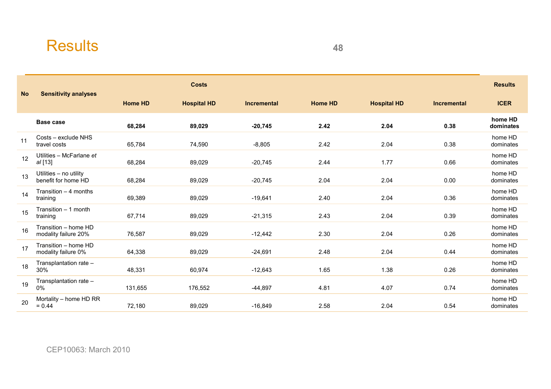|           |                                               |                | <b>Costs</b>       |                    |                |                    |                    | <b>Results</b>       |
|-----------|-----------------------------------------------|----------------|--------------------|--------------------|----------------|--------------------|--------------------|----------------------|
| <b>No</b> | <b>Sensitivity analyses</b>                   | <b>Home HD</b> | <b>Hospital HD</b> | <b>Incremental</b> | <b>Home HD</b> | <b>Hospital HD</b> | <b>Incremental</b> | <b>ICER</b>          |
|           | Base case                                     | 68,284         | 89,029             | $-20,745$          | 2.42           | 2.04               | 0.38               | home HD<br>dominates |
| 11        | Costs - exclude NHS<br>travel costs           | 65,784         | 74,590             | $-8,805$           | 2.42           | 2.04               | 0.38               | home HD<br>dominates |
| 12        | Utilities - McFarlane et<br>al [13]           | 68,284         | 89,029             | $-20,745$          | 2.44           | 1.77               | 0.66               | home HD<br>dominates |
| 13        | Utilities - no utility<br>benefit for home HD | 68,284         | 89,029             | $-20,745$          | 2.04           | 2.04               | 0.00               | home HD<br>dominates |
| 14        | Transition $-4$ months<br>training            | 69,389         | 89,029             | $-19,641$          | 2.40           | 2.04               | 0.36               | home HD<br>dominates |
| 15        | Transition - 1 month<br>training              | 67,714         | 89,029             | $-21,315$          | 2.43           | 2.04               | 0.39               | home HD<br>dominates |
| 16        | Transition - home HD<br>modality failure 20%  | 76,587         | 89,029             | $-12,442$          | 2.30           | 2.04               | 0.26               | home HD<br>dominates |
| 17        | Transition - home HD<br>modality failure 0%   | 64,338         | 89,029             | $-24,691$          | 2.48           | 2.04               | 0.44               | home HD<br>dominates |
| 18        | Transplantation rate -<br>30%                 | 48,331         | 60,974             | $-12,643$          | 1.65           | 1.38               | 0.26               | home HD<br>dominates |
| 19        | Transplantation rate -<br>0%                  | 131,655        | 176,552            | $-44,897$          | 4.81           | 4.07               | 0.74               | home HD<br>dominates |
| 20        | Mortality - home HD RR<br>$= 0.44$            | 72,180         | 89,029             | $-16,849$          | 2.58           | 2.04               | 0.54               | home HD<br>dominates |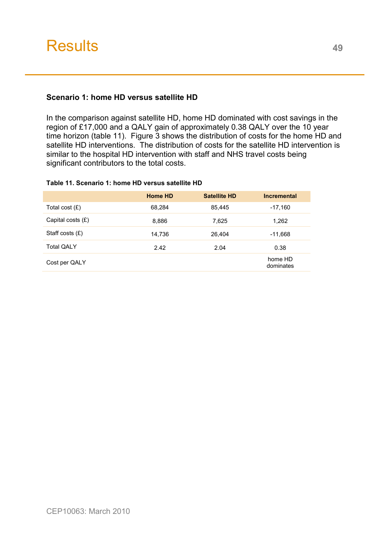# **Scenario 1: home HD versus satellite HD**

In the comparison against satellite HD, home HD dominated with cost savings in the region of £17,000 and a QALY gain of approximately 0.38 QALY over the 10 year time horizon (table 11). Figure 3 shows the distribution of costs for the home HD and satellite HD interventions. The distribution of costs for the satellite HD intervention is similar to the hospital HD intervention with staff and NHS travel costs being significant contributors to the total costs.

#### **Table 11. Scenario 1: home HD versus satellite HD**

|                     | <b>Home HD</b> | <b>Satellite HD</b> | <b>Incremental</b>   |
|---------------------|----------------|---------------------|----------------------|
| Total cost $(E)$    | 68,284         | 85,445              | $-17,160$            |
| Capital costs $(E)$ | 8,886          | 7,625               | 1,262                |
| Staff costs $(E)$   | 14,736         | 26.404              | $-11,668$            |
| <b>Total QALY</b>   | 2.42           | 2.04                | 0.38                 |
| Cost per QALY       |                |                     | home HD<br>dominates |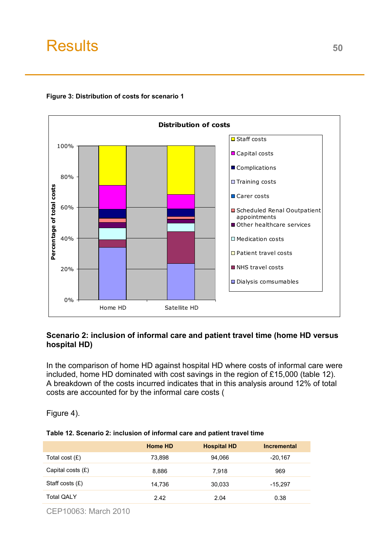

#### **Figure 3: Distribution of costs for scenario 1**

### **Scenario 2: inclusion of informal care and patient travel time (home HD versus hospital HD)**

In the comparison of home HD against hospital HD where costs of informal care were included, home HD dominated with cost savings in the region of £15,000 (table 12). A breakdown of the costs incurred indicates that in this analysis around 12% of total costs are accounted for by the informal care costs (

Figure 4).

|  |  |  | Table 12. Scenario 2: inclusion of informal care and patient travel time |
|--|--|--|--------------------------------------------------------------------------|
|--|--|--|--------------------------------------------------------------------------|

|                     | <b>Home HD</b> | <b>Hospital HD</b> | <b>Incremental</b> |
|---------------------|----------------|--------------------|--------------------|
| Total cost $(E)$    | 73,898         | 94.066             | $-20,167$          |
| Capital costs $(E)$ | 8,886          | 7.918              | 969                |
| Staff costs $(E)$   | 14,736         | 30,033             | $-15,297$          |
| <b>Total QALY</b>   | 2.42           | 2.04               | 0.38               |
|                     |                |                    |                    |

CEP10063: March 2010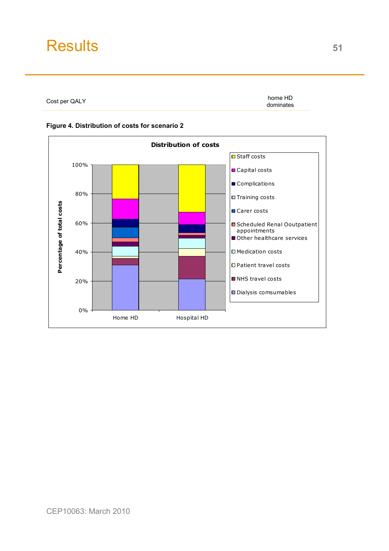Cost per QALY

home HD dominates



#### **Figure 4. Distribution of costs for scenario 2**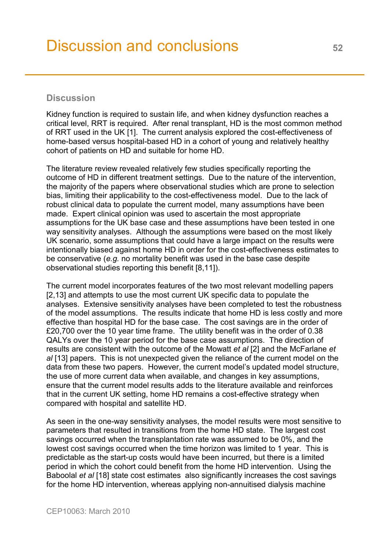# <span id="page-51-0"></span>**Discussion**

Kidney function is required to sustain life, and when kidney dysfunction reaches a critical level, RRT is required. After renal transplant, HD is the most common method of RRT used in the UK [1]. The current analysis explored the cost-effectiveness of home-based versus hospital-based HD in a cohort of young and relatively healthy cohort of patients on HD and suitable for home HD.

The literature review revealed relatively few studies specifically reporting the outcome of HD in different treatment settings. Due to the nature of the intervention, the majority of the papers where observational studies which are prone to selection bias, limiting their applicability to the cost-effectiveness model. Due to the lack of robust clinical data to populate the current model, many assumptions have been made. Expert clinical opinion was used to ascertain the most appropriate assumptions for the UK base case and these assumptions have been tested in one way sensitivity analyses. Although the assumptions were based on the most likely UK scenario, some assumptions that could have a large impact on the results were intentionally biased against home HD in order for the cost-effectiveness estimates to be conservative (*e.g.* no mortality benefit was used in the base case despite observational studies reporting this benefit [8,11]).

The current model incorporates features of the two most relevant modelling papers [2,13] and attempts to use the most current UK specific data to populate the analyses. Extensive sensitivity analyses have been completed to test the robustness of the model assumptions. The results indicate that home HD is less costly and more effective than hospital HD for the base case. The cost savings are in the order of £20,700 over the 10 year time frame. The utility benefit was in the order of 0.38 QALYs over the 10 year period for the base case assumptions. The direction of results are consistent with the outcome of the Mowatt *et al* [2] and the McFarlane *et al* [13] papers. This is not unexpected given the reliance of the current model on the data from these two papers. However, the current model's updated model structure, the use of more current data when available, and changes in key assumptions, ensure that the current model results adds to the literature available and reinforces that in the current UK setting, home HD remains a cost-effective strategy when compared with hospital and satellite HD.

As seen in the one-way sensitivity analyses, the model results were most sensitive to parameters that resulted in transitions from the home HD state. The largest cost savings occurred when the transplantation rate was assumed to be 0%, and the lowest cost savings occurred when the time horizon was limited to 1 year. This is predictable as the start-up costs would have been incurred, but there is a limited period in which the cohort could benefit from the home HD intervention. Using the Baboolal *et al* [18] state cost estimates also significantly increases the cost savings for the home HD intervention, whereas applying non-annuitised dialysis machine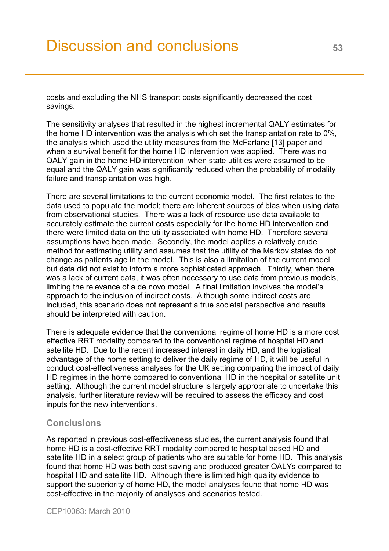costs and excluding the NHS transport costs significantly decreased the cost savings.

The sensitivity analyses that resulted in the highest incremental QALY estimates for the home HD intervention was the analysis which set the transplantation rate to 0%, the analysis which used the utility measures from the McFarlane [13] paper and when a survival benefit for the home HD intervention was applied. There was no QALY gain in the home HD intervention when state utilities were assumed to be equal and the QALY gain was significantly reduced when the probability of modality failure and transplantation was high.

There are several limitations to the current economic model. The first relates to the data used to populate the model; there are inherent sources of bias when using data from observational studies. There was a lack of resource use data available to accurately estimate the current costs especially for the home HD intervention and there were limited data on the utility associated with home HD. Therefore several assumptions have been made. Secondly, the model applies a relatively crude method for estimating utility and assumes that the utility of the Markov states do not change as patients age in the model. This is also a limitation of the current model but data did not exist to inform a more sophisticated approach. Thirdly, when there was a lack of current data, it was often necessary to use data from previous models, limiting the relevance of a de novo model. A final limitation involves the model's approach to the inclusion of indirect costs. Although some indirect costs are included, this scenario does not represent a true societal perspective and results should be interpreted with caution.

There is adequate evidence that the conventional regime of home HD is a more cost effective RRT modality compared to the conventional regime of hospital HD and satellite HD. Due to the recent increased interest in daily HD, and the logistical advantage of the home setting to deliver the daily regime of HD, it will be useful in conduct cost-effectiveness analyses for the UK setting comparing the impact of daily HD regimes in the home compared to conventional HD in the hospital or satellite unit setting. Although the current model structure is largely appropriate to undertake this analysis, further literature review will be required to assess the efficacy and cost inputs for the new interventions.

### **Conclusions**

As reported in previous cost-effectiveness studies, the current analysis found that home HD is a cost-effective RRT modality compared to hospital based HD and satellite HD in a select group of patients who are suitable for home HD. This analysis found that home HD was both cost saving and produced greater QALYs compared to hospital HD and satellite HD. Although there is limited high quality evidence to support the superiority of home HD, the model analyses found that home HD was cost-effective in the majority of analyses and scenarios tested.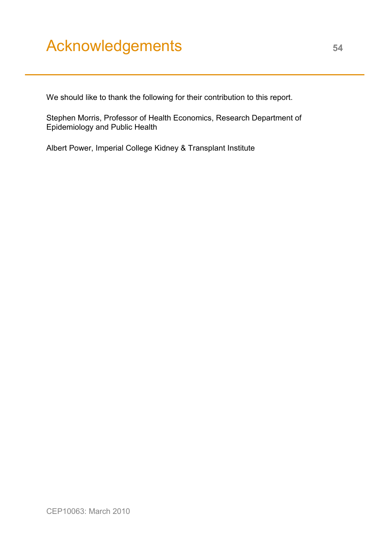# <span id="page-53-0"></span>Acknowledgements **<sup>54</sup>**

We should like to thank the following for their contribution to this report.

Stephen Morris, Professor of Health Economics, Research Department of Epidemiology and Public Health

Albert Power, Imperial College Kidney & Transplant Institute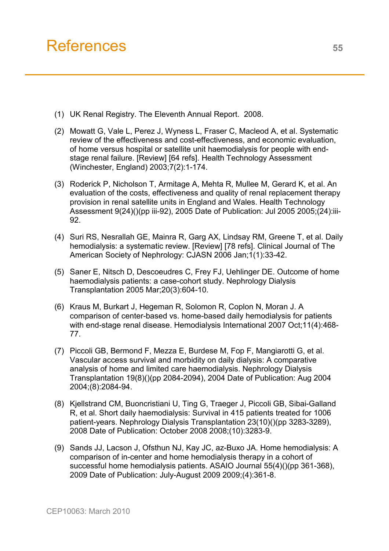- <span id="page-54-0"></span>(1) UK Renal Registry. The Eleventh Annual Report. 2008.
- (2) Mowatt G, Vale L, Perez J, Wyness L, Fraser C, Macleod A, et al. Systematic review of the effectiveness and cost-effectiveness, and economic evaluation, of home versus hospital or satellite unit haemodialysis for people with endstage renal failure. [Review] [64 refs]. Health Technology Assessment (Winchester, England) 2003;7(2):1-174.
- (3) Roderick P, Nicholson T, Armitage A, Mehta R, Mullee M, Gerard K, et al. An evaluation of the costs, effectiveness and quality of renal replacement therapy provision in renal satellite units in England and Wales. Health Technology Assessment 9(24)()(pp iii-92), 2005 Date of Publication: Jul 2005 2005;(24):iii-92.
- (4) Suri RS, Nesrallah GE, Mainra R, Garg AX, Lindsay RM, Greene T, et al. Daily hemodialysis: a systematic review. [Review] [78 refs]. Clinical Journal of The American Society of Nephrology: CJASN 2006 Jan;1(1):33-42.
- (5) Saner E, Nitsch D, Descoeudres C, Frey FJ, Uehlinger DE. Outcome of home haemodialysis patients: a case-cohort study. Nephrology Dialysis Transplantation 2005 Mar;20(3):604-10.
- (6) Kraus M, Burkart J, Hegeman R, Solomon R, Coplon N, Moran J. A comparison of center-based vs. home-based daily hemodialysis for patients with end-stage renal disease. Hemodialysis International 2007 Oct;11(4):468- 77.
- (7) Piccoli GB, Bermond F, Mezza E, Burdese M, Fop F, Mangiarotti G, et al. Vascular access survival and morbidity on daily dialysis: A comparative analysis of home and limited care haemodialysis. Nephrology Dialysis Transplantation 19(8)()(pp 2084-2094), 2004 Date of Publication: Aug 2004 2004;(8):2084-94.
- (8) Kjellstrand CM, Buoncristiani U, Ting G, Traeger J, Piccoli GB, Sibai-Galland R, et al. Short daily haemodialysis: Survival in 415 patients treated for 1006 patient-years. Nephrology Dialysis Transplantation 23(10)()(pp 3283-3289), 2008 Date of Publication: October 2008 2008;(10):3283-9.
- (9) Sands JJ, Lacson J, Ofsthun NJ, Kay JC, az-Buxo JA. Home hemodialysis: A comparison of in-center and home hemodialysis therapy in a cohort of successful home hemodialysis patients. ASAIO Journal 55(4)()(pp 361-368), 2009 Date of Publication: July-August 2009 2009;(4):361-8.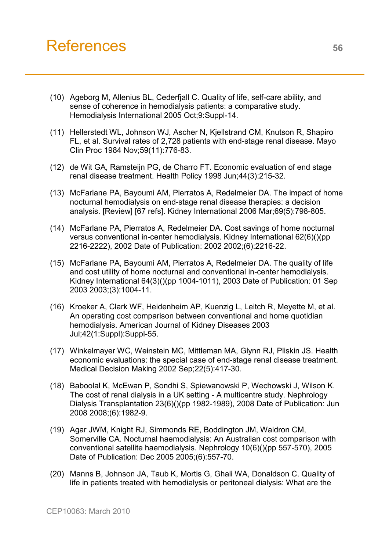# References 56

- (10) Ageborg M, Allenius BL, Cederfjall C. Quality of life, self-care ability, and sense of coherence in hemodialysis patients: a comparative study. Hemodialysis International 2005 Oct;9:Suppl-14.
- (11) Hellerstedt WL, Johnson WJ, Ascher N, Kjellstrand CM, Knutson R, Shapiro FL, et al. Survival rates of 2,728 patients with end-stage renal disease. Mayo Clin Proc 1984 Nov;59(11):776-83.
- (12) de Wit GA, Ramsteijn PG, de Charro FT. Economic evaluation of end stage renal disease treatment. Health Policy 1998 Jun;44(3):215-32.
- (13) McFarlane PA, Bayoumi AM, Pierratos A, Redelmeier DA. The impact of home nocturnal hemodialysis on end-stage renal disease therapies: a decision analysis. [Review] [67 refs]. Kidney International 2006 Mar;69(5):798-805.
- (14) McFarlane PA, Pierratos A, Redelmeier DA. Cost savings of home nocturnal versus conventional in-center hemodialysis. Kidney International 62(6)()(pp 2216-2222), 2002 Date of Publication: 2002 2002;(6):2216-22.
- (15) McFarlane PA, Bayoumi AM, Pierratos A, Redelmeier DA. The quality of life and cost utility of home nocturnal and conventional in-center hemodialysis. Kidney International 64(3)()(pp 1004-1011), 2003 Date of Publication: 01 Sep 2003 2003;(3):1004-11.
- (16) Kroeker A, Clark WF, Heidenheim AP, Kuenzig L, Leitch R, Meyette M, et al. An operating cost comparison between conventional and home quotidian hemodialysis. American Journal of Kidney Diseases 2003 Jul;42(1:Suppl):Suppl-55.
- (17) Winkelmayer WC, Weinstein MC, Mittleman MA, Glynn RJ, Pliskin JS. Health economic evaluations: the special case of end-stage renal disease treatment. Medical Decision Making 2002 Sep;22(5):417-30.
- (18) Baboolal K, McEwan P, Sondhi S, Spiewanowski P, Wechowski J, Wilson K. The cost of renal dialysis in a UK setting - A multicentre study. Nephrology Dialysis Transplantation 23(6)()(pp 1982-1989), 2008 Date of Publication: Jun 2008 2008;(6):1982-9.
- (19) Agar JWM, Knight RJ, Simmonds RE, Boddington JM, Waldron CM, Somerville CA. Nocturnal haemodialysis: An Australian cost comparison with conventional satellite haemodialysis. Nephrology 10(6)()(pp 557-570), 2005 Date of Publication: Dec 2005 2005;(6):557-70.
- (20) Manns B, Johnson JA, Taub K, Mortis G, Ghali WA, Donaldson C. Quality of life in patients treated with hemodialysis or peritoneal dialysis: What are the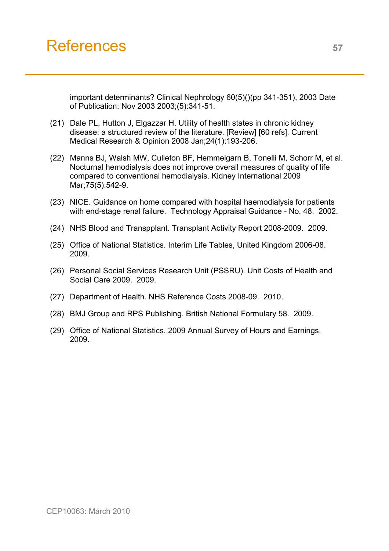# References **<sup>57</sup>**

important determinants? Clinical Nephrology 60(5)()(pp 341-351), 2003 Date of Publication: Nov 2003 2003;(5):341-51.

- (21) Dale PL, Hutton J, Elgazzar H. Utility of health states in chronic kidney disease: a structured review of the literature. [Review] [60 refs]. Current Medical Research & Opinion 2008 Jan;24(1):193-206.
- (22) Manns BJ, Walsh MW, Culleton BF, Hemmelgarn B, Tonelli M, Schorr M, et al. Nocturnal hemodialysis does not improve overall measures of quality of life compared to conventional hemodialysis. Kidney International 2009 Mar;75(5):542-9.
- (23) NICE. Guidance on home compared with hospital haemodialysis for patients with end-stage renal failure. Technology Appraisal Guidance - No. 48. 2002.
- (24) NHS Blood and Transpplant. Transplant Activity Report 2008-2009. 2009.
- (25) Office of National Statistics. Interim Life Tables, United Kingdom 2006-08. 2009.
- (26) Personal Social Services Research Unit (PSSRU). Unit Costs of Health and Social Care 2009. 2009.
- (27) Department of Health. NHS Reference Costs 2008-09. 2010.
- (28) BMJ Group and RPS Publishing. British National Formulary 58. 2009.
- (29) Office of National Statistics. 2009 Annual Survey of Hours and Earnings. 2009.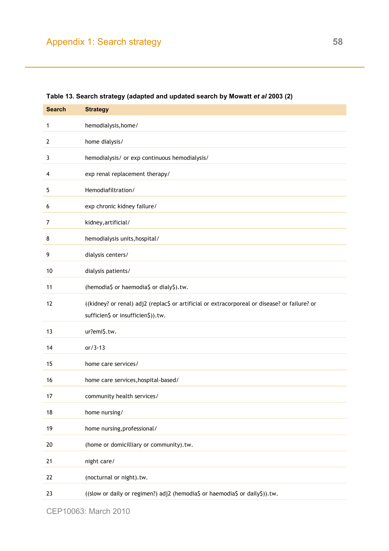| <b>Search</b> | <b>Strategy</b>                                                                                                                     |
|---------------|-------------------------------------------------------------------------------------------------------------------------------------|
| 1             | hemodialysis, home/                                                                                                                 |
| 2             | home dialysis/                                                                                                                      |
| 3             | hemodialysis/ or exp continuous hemodialysis/                                                                                       |
| 4             | exp renal replacement therapy/                                                                                                      |
| 5             | Hemodiafiltration/                                                                                                                  |
| 6             | exp chronic kidney failure/                                                                                                         |
| 7             | kidney, artificial/                                                                                                                 |
| 8             | hemodialysis units, hospital/                                                                                                       |
| 9             | dialysis centers/                                                                                                                   |
| 10            | dialysis patients/                                                                                                                  |
| 11            | (hemodia\$ or haemodia\$ or dialy\$).tw.                                                                                            |
| 12            | ((kidney? or renal) adj2 (replac\$ or artificial or extracorporeal or disease? or failure? or<br>sufficien\$ or insufficien\$)).tw. |
| 13            | ur?emi\$.tw.                                                                                                                        |
| 14            | $or/3-13$                                                                                                                           |
| 15            | home care services/                                                                                                                 |
| 16            | home care services, hospital-based/                                                                                                 |
| 17            | community health services/                                                                                                          |
| 18            | home nursing/                                                                                                                       |
| 19            | home nursing, professional/                                                                                                         |
| 20            | (home or domicilliary or community).tw.                                                                                             |
| 21            | night care/                                                                                                                         |
| 22            | (nocturnal or night).tw.                                                                                                            |
| 23            | ((slow or daily or regimen?) adj2 (hemodia\$ or haemodia\$ or daily\$)).tw.                                                         |

<span id="page-57-0"></span>**Table 13. Search strategy (adapted and updated search by Mowatt** *et al* **2003 (2)**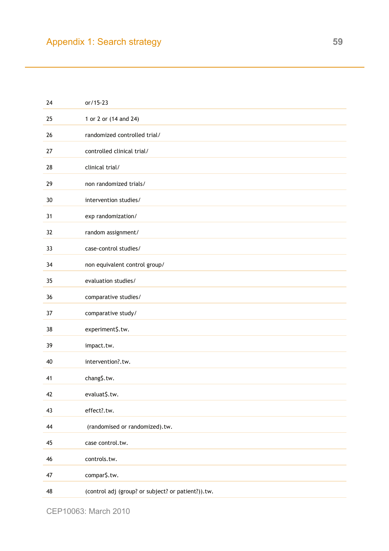| 24 | $or/15-23$                                         |
|----|----------------------------------------------------|
| 25 | 1 or 2 or (14 and 24)                              |
| 26 | randomized controlled trial/                       |
| 27 | controlled clinical trial/                         |
| 28 | clinical trial/                                    |
| 29 | non randomized trials/                             |
| 30 | intervention studies/                              |
| 31 | exp randomization/                                 |
| 32 | random assignment/                                 |
| 33 | case-control studies/                              |
| 34 | non equivalent control group/                      |
| 35 | evaluation studies/                                |
| 36 | comparative studies/                               |
| 37 | comparative study/                                 |
| 38 | experiment\$.tw.                                   |
| 39 | impact.tw.                                         |
| 40 | intervention?.tw.                                  |
| 41 | chang\$.tw.                                        |
| 42 | evaluat\$.tw.                                      |
| 43 | effect?.tw.                                        |
| 44 | (randomised or randomized).tw.                     |
| 45 | case control.tw.                                   |
| 46 | controls.tw.                                       |
| 47 | compar\$.tw.                                       |
| 48 | (control adj (group? or subject? or patient?)).tw. |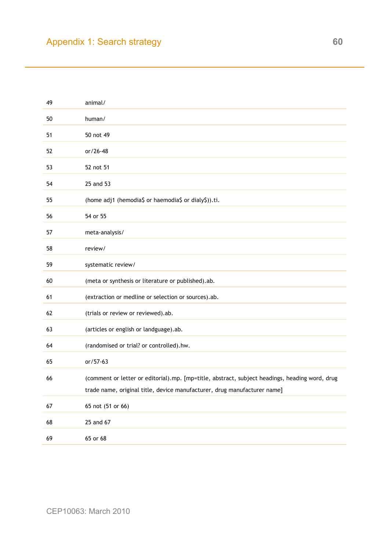| 49 | animal/                                                                                                                                                                    |
|----|----------------------------------------------------------------------------------------------------------------------------------------------------------------------------|
| 50 | human/                                                                                                                                                                     |
| 51 | 50 not 49                                                                                                                                                                  |
| 52 | or/26-48                                                                                                                                                                   |
| 53 | 52 not 51                                                                                                                                                                  |
| 54 | 25 and 53                                                                                                                                                                  |
| 55 | (home adj1 (hemodia\$ or haemodia\$ or dialy\$)).ti.                                                                                                                       |
| 56 | 54 or 55                                                                                                                                                                   |
| 57 | meta-analysis/                                                                                                                                                             |
| 58 | review/                                                                                                                                                                    |
| 59 | systematic review/                                                                                                                                                         |
| 60 | (meta or synthesis or literature or published).ab.                                                                                                                         |
| 61 | (extraction or medline or selection or sources).ab.                                                                                                                        |
| 62 | (trials or review or reviewed).ab.                                                                                                                                         |
| 63 | (articles or english or landguage).ab.                                                                                                                                     |
| 64 | (randomised or trial? or controlled).hw.                                                                                                                                   |
| 65 | or/57-63                                                                                                                                                                   |
| 66 | (comment or letter or editorial).mp. [mp=title, abstract, subject headings, heading word, drug<br>trade name, original title, device manufacturer, drug manufacturer name] |
|    |                                                                                                                                                                            |
| 67 | 65 not (51 or 66)                                                                                                                                                          |
| 68 | 25 and 67                                                                                                                                                                  |
| 69 | 65 or 68                                                                                                                                                                   |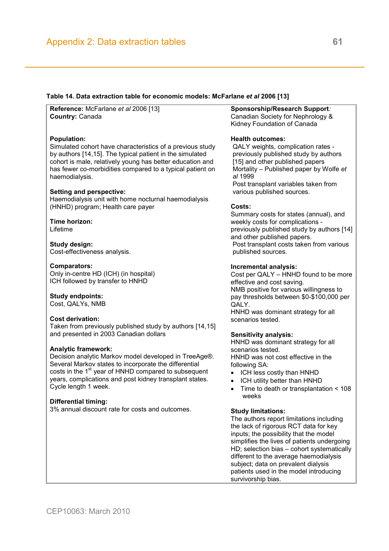#### <span id="page-60-0"></span>**Table 14. Data extraction table for economic models: McFarlane** *et al* **2006 [13]**

**Reference:** McFarlane *et al* 2006 [13] **Country:** Canada

#### **Population:**

Simulated cohort have characteristics of a previous study by authors [14,15]. The typical patient in the simulated cohort is male, relatively young has better education and has fewer co-morbidities compared to a typical patient on haemodialysis.

#### **Setting and perspective:**

Haemodialysis unit with home nocturnal haemodialysis (HNHD) program; Health care payer

#### **Time horizon:**  Lifetime

**Study design:**  Cost-effectiveness analysis*.* 

#### **Comparators:**

Only in-centre HD (ICH) (in hospital) ICH followed by transfer to HNHD

#### **Study endpoints:**

Cost, QALYs, NMB

#### **Cost derivation:**

Taken from previously published study by authors [14,15] and presented in 2003 Canadian dollars

#### **Analytic framework:**

Decision analytic Markov model developed in TreeAge®. Several Markov states to incorporate the differential costs in the 1<sup>st</sup> year of HNHD compared to subsequent years, complications and post kidney transplant states. Cycle length 1 week.

#### **Differential timing:**

3% annual discount rate for costs and outcomes.

#### **Sponsorship/Research Support***:*  Canadian Society for Nephrology &

Kidney Foundation of Canada

#### **Health outcomes:**

QALY weights, complication rates previously published study by authors [15] and other published papers Mortality – Published paper by Wolfe *et al* 1999 Post transplant variables taken from various published sources.

#### **Costs:**

Summary costs for states (annual), and weekly costs for complications previously published study by authors [14] and other published papers. Post transplant costs taken from various published sources.

#### **Incremental analysis:**

Cost per QALY – HNHD found to be more effective and cost saving. NMB positive for various willingness to pay thresholds between \$0-\$100,000 per QALY. HNHD was dominant strategy for all scenarios tested.

#### **Sensitivity analysis:**

HNHD was dominant strategy for all scenarios tested. HNHD was not cost effective in the following SA:

- ICH less costly than HNHD
- ICH utility better than HNHD
- Time to death or transplantation < 108 weeks

#### **Study limitations:**

The authors report limitations including the lack of rigorous RCT data for key inputs; the possibility that the model simplifies the lives of patients undergoing HD; selection bias – cohort systematically different to the average haemodialysis subject; data on prevalent dialysis patients used in the model introducing survivorship bias.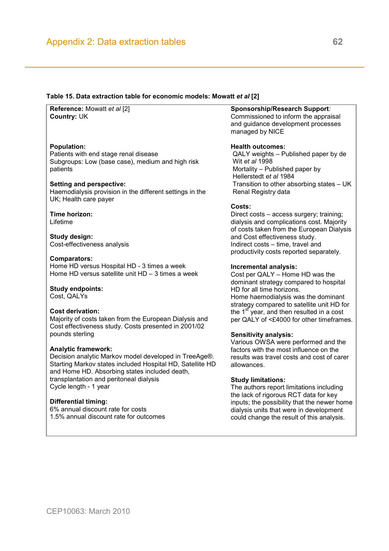#### **Table 15. Data extraction table for economic models: Mowatt** *et al* **[2]**

**Reference:** Mowatt *et al* [2] **Country:** UK

#### **Population:**

Patients with end stage renal disease Subgroups: Low (base case), medium and high risk patients

#### **Setting and perspective:**

Haemodialysis provision in the different settings in the UK; Health care payer

#### **Time horizon:**

Lifetime

**Study design:**  Cost-effectiveness analysis

#### **Comparators:**

Home HD versus Hospital HD - 3 times a week Home HD versus satellite unit HD – 3 times a week

#### **Study endpoints:**

Cost, QALYs

#### **Cost derivation:**

Majority of costs taken from the European Dialysis and Cost effectiveness study. Costs presented in 2001/02 pounds sterling

#### **Analytic framework:**

Decision analytic Markov model developed in TreeAge®. Starting Markov states included Hospital HD, Satellite HD and Home HD. Absorbing states included death, transplantation and peritoneal dialysis Cycle length - 1 year

#### **Differential timing:**

6% annual discount rate for costs 1.5% annual discount rate for outcomes

#### **Sponsorship/Research Support***:*

Commissioned to inform the appraisal and guidance development processes managed by NICE

#### **Health outcomes:**

QALY weights – Published paper by de Wit *et al* 1998 Mortality – Published paper by Hellerstedt *et al* 1984 Transition to other absorbing states – UK Renal Registry data

#### **Costs:**

Direct costs – access surgery; training; dialysis and complications cost. Majority of costs taken from the European Dialysis and Cost effectiveness study. Indirect costs – time, travel and productivity costs reported separately.

#### **Incremental analysis:**

Cost per QALY – Home HD was the dominant strategy compared to hospital HD for all time horizons. Home haemodialysis was the dominant strategy compared to satellite unit HD for the  $1<sup>st</sup>$  year, and then resulted in a cost per QALY of <£4000 for other timeframes.

#### **Sensitivity analysis:**

Various OWSA were performed and the factors with the most influence on the results was travel costs and cost of carer allowances.

#### **Study limitations:**

The authors report limitations including the lack of rigorous RCT data for key inputs; the possibility that the newer home dialysis units that were in development could change the result of this analysis.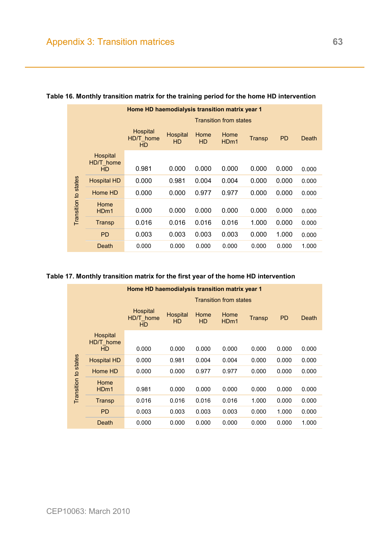|                      | Home HD haemodialysis transition matrix year 1 |                                    |                |                   |                          |        |           |       |  |
|----------------------|------------------------------------------------|------------------------------------|----------------|-------------------|--------------------------|--------|-----------|-------|--|
|                      |                                                | <b>Transition from states</b>      |                |                   |                          |        |           |       |  |
|                      |                                                | Hospital<br>HD/T home<br><b>HD</b> | Hospital<br>HD | Home<br><b>HD</b> | Home<br>HD <sub>m1</sub> | Transp | <b>PD</b> | Death |  |
|                      | Hospital<br>HD/T home<br><b>HD</b>             | 0.981                              | 0.000          | 0.000             | 0.000                    | 0.000  | 0.000     | 0.000 |  |
|                      | <b>Hospital HD</b>                             | 0.000                              | 0.981          | 0.004             | 0.004                    | 0.000  | 0.000     | 0.000 |  |
|                      | Home HD                                        | 0.000                              | 0.000          | 0.977             | 0.977                    | 0.000  | 0.000     | 0.000 |  |
| Transition to states | Home<br>H <sub>Dm1</sub>                       | 0.000                              | 0.000          | 0.000             | 0.000                    | 0.000  | 0.000     | 0.000 |  |
|                      | Transp                                         | 0.016                              | 0.016          | 0.016             | 0.016                    | 1.000  | 0.000     | 0.000 |  |
|                      | <b>PD</b>                                      | 0.003                              | 0.003          | 0.003             | 0.003                    | 0.000  | 1.000     | 0.000 |  |
|                      | Death                                          | 0.000                              | 0.000          | 0.000             | 0.000                    | 0.000  | 0.000     | 1.000 |  |

# <span id="page-62-0"></span>**Table 16. Monthly transition matrix for the training period for the home HD intervention**

#### **Table 17. Monthly transition matrix for the first year of the home HD intervention**

|                      |                                    | Home HD haemodialysis transition matrix year 1 |                       |                   |                          |        |           |       |  |
|----------------------|------------------------------------|------------------------------------------------|-----------------------|-------------------|--------------------------|--------|-----------|-------|--|
|                      |                                    | <b>Transition from states</b>                  |                       |                   |                          |        |           |       |  |
|                      |                                    | Hospital<br>HD/T home<br><b>HD</b>             | Hospital<br><b>HD</b> | Home<br><b>HD</b> | Home<br>H <sub>Dm1</sub> | Transp | <b>PD</b> | Death |  |
| Transition to states | Hospital<br>HD/T home<br><b>HD</b> | 0.000                                          | 0.000                 | 0.000             | 0.000                    | 0.000  | 0.000     | 0.000 |  |
|                      | <b>Hospital HD</b>                 | 0.000                                          | 0.981                 | 0.004             | 0.004                    | 0.000  | 0.000     | 0.000 |  |
|                      | Home HD                            | 0.000                                          | 0.000                 | 0.977             | 0.977                    | 0.000  | 0.000     | 0.000 |  |
|                      | Home<br>H <sub>Dm1</sub>           | 0.981                                          | 0.000                 | 0.000             | 0.000                    | 0.000  | 0.000     | 0.000 |  |
|                      | Transp                             | 0.016                                          | 0.016                 | 0.016             | 0.016                    | 1.000  | 0.000     | 0.000 |  |
|                      | <b>PD</b>                          | 0.003                                          | 0.003                 | 0.003             | 0.003                    | 0.000  | 1.000     | 0.000 |  |
|                      | Death                              | 0.000                                          | 0.000                 | 0.000             | 0.000                    | 0.000  | 0.000     | 1.000 |  |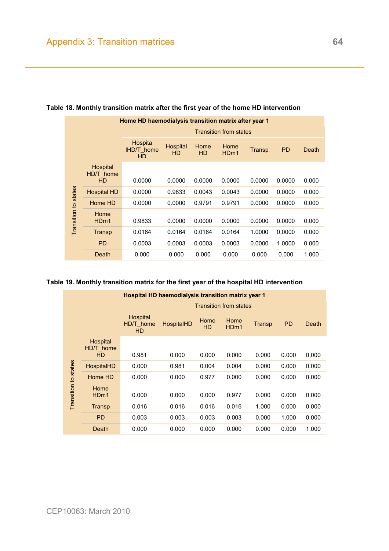|                      | Home HD haemodialysis transition matrix after year 1 |                                           |                       |                   |                          |        |           |       |  |
|----------------------|------------------------------------------------------|-------------------------------------------|-----------------------|-------------------|--------------------------|--------|-----------|-------|--|
|                      |                                                      | <b>Transition from states</b>             |                       |                   |                          |        |           |       |  |
|                      |                                                      | Hospita<br><b>IHD/T</b> home<br><b>HD</b> | Hospital<br><b>HD</b> | Home<br><b>HD</b> | Home<br>HD <sub>m1</sub> | Transp | <b>PD</b> | Death |  |
| Transition to states | Hospital<br>HD/T home<br><b>HD</b>                   | 0.0000                                    | 0.0000                | 0.0000            | 0.0000                   | 0.0000 | 0.0000    | 0.000 |  |
|                      | <b>Hospital HD</b>                                   | 0.0000                                    | 0.9833                | 0.0043            | 0.0043                   | 0.0000 | 0.0000    | 0.000 |  |
|                      | Home HD                                              | 0.0000                                    | 0.0000                | 0.9791            | 0.9791                   | 0.0000 | 0.0000    | 0.000 |  |
|                      | Home<br>H <sub>Dm1</sub>                             | 0.9833                                    | 0.0000                | 0.0000            | 0.0000                   | 0.0000 | 0.0000    | 0.000 |  |
|                      | Transp                                               | 0.0164                                    | 0.0164                | 0.0164            | 0.0164                   | 1.0000 | 0.0000    | 0.000 |  |
|                      | <b>PD</b>                                            | 0.0003                                    | 0.0003                | 0.0003            | 0.0003                   | 0.0000 | 1.0000    | 0.000 |  |
|                      | Death                                                | 0.000                                     | 0.000                 | 0.000             | 0.000                    | 0.000  | 0.000     | 1.000 |  |

### **Table 18. Monthly transition matrix after the first year of the home HD intervention**

#### **Table 19. Monthly transition matrix for the first year of the hospital HD intervention**

|                      | <b>Hospital HD haemodialysis transition matrix year 1</b> |                               |            |                   |                          |        |           |       |
|----------------------|-----------------------------------------------------------|-------------------------------|------------|-------------------|--------------------------|--------|-----------|-------|
|                      |                                                           | <b>Transition from states</b> |            |                   |                          |        |           |       |
|                      |                                                           | Hospital<br>HD/T home<br>HD.  | HospitalHD | Home<br><b>HD</b> | Home<br>H <sub>Dm1</sub> | Transp | <b>PD</b> | Death |
|                      | Hospital<br>HD/T_home<br><b>HD</b>                        | 0.981                         | 0.000      | 0.000             | 0.000                    | 0.000  | 0.000     | 0.000 |
|                      |                                                           |                               |            |                   |                          |        |           |       |
|                      | <b>HospitalHD</b>                                         | 0.000                         | 0.981      | 0.004             | 0.004                    | 0.000  | 0.000     | 0.000 |
|                      | Home HD                                                   | 0.000                         | 0.000      | 0.977             | 0.000                    | 0.000  | 0.000     | 0.000 |
| Transition to states | Home<br>H <sub>Dm1</sub>                                  | 0.000                         | 0.000      | 0.000             | 0.977                    | 0.000  | 0.000     | 0.000 |
|                      | Transp                                                    | 0.016                         | 0.016      | 0.016             | 0.016                    | 1.000  | 0.000     | 0.000 |
|                      | <b>PD</b>                                                 | 0.003                         | 0.003      | 0.003             | 0.003                    | 0.000  | 1.000     | 0.000 |
|                      | Death                                                     | 0.000                         | 0.000      | 0.000             | 0.000                    | 0.000  | 0.000     | 1.000 |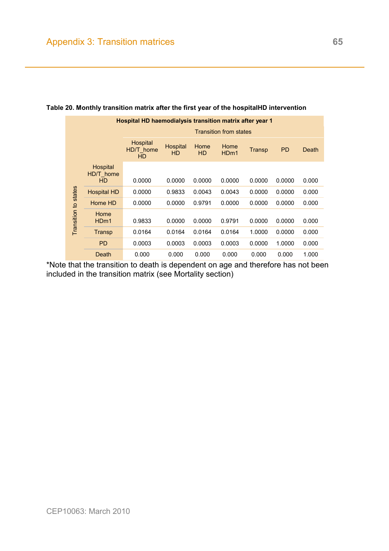| <b>Hospital HD haemodialysis transition matrix after year 1</b> |                             |                                    |                       |                   |                          |        |           |       |  |
|-----------------------------------------------------------------|-----------------------------|------------------------------------|-----------------------|-------------------|--------------------------|--------|-----------|-------|--|
|                                                                 |                             | <b>Transition from states</b>      |                       |                   |                          |        |           |       |  |
|                                                                 |                             | Hospital<br>HD/T home<br><b>HD</b> | Hospital<br><b>HD</b> | Home<br><b>HD</b> | Home<br>H <sub>Dm1</sub> | Transp | <b>PD</b> | Death |  |
| Transition to states                                            | Hospital<br>HD/T home<br>HD | 0.0000                             | 0.0000                | 0.0000            | 0.0000                   | 0.0000 | 0.0000    | 0.000 |  |
|                                                                 | <b>Hospital HD</b>          | 0.0000                             | 0.9833                | 0.0043            | 0.0043                   | 0.0000 | 0.0000    | 0.000 |  |
|                                                                 | Home HD                     | 0.0000                             | 0.0000                | 0.9791            | 0.0000                   | 0.0000 | 0.0000    | 0.000 |  |
|                                                                 | Home<br>H <sub>Dm1</sub>    | 0.9833                             | 0.0000                | 0.0000            | 0.9791                   | 0.0000 | 0.0000    | 0.000 |  |
|                                                                 | Transp                      | 0.0164                             | 0.0164                | 0.0164            | 0.0164                   | 1.0000 | 0.0000    | 0.000 |  |
|                                                                 | <b>PD</b>                   | 0.0003                             | 0.0003                | 0.0003            | 0.0003                   | 0.0000 | 1.0000    | 0.000 |  |
|                                                                 | Death                       | 0.000                              | 0.000                 | 0.000             | 0.000                    | 0.000  | 0.000     | 1.000 |  |

#### **Table 20. Monthly transition matrix after the first year of the hospitalHD intervention**

\*Note that the transition to death is dependent on age and therefore has not been included in the transition matrix (see Mortality section)